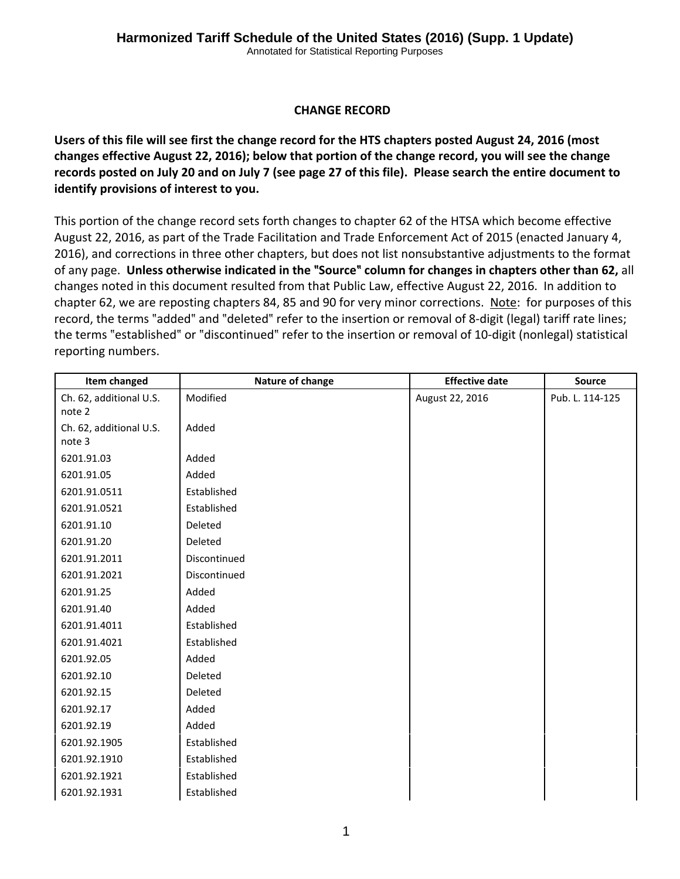## **CHANGE RECORD**

Users of this file will see first the change record for the HTS chapters posted August 24, 2016 (most **changes effective August 22, 2016); below that portion of the change record, you will see the change** records posted on July 20 and on July 7 (see page 27 of this file). Please search the entire document to **identify provisions of interest to you.**

This portion of the change record sets forth changes to chapter 62 of the HTSA which become effective August 22, 2016, as part of the Trade Facilitation and Trade Enforcement Act of 2015 (enacted January 4, 2016), and corrections in three other chapters, but does not list nonsubstantive adjustments to the format of any page. **Unless otherwise indicated in the** ?**Source**? **column for changes in chapters other than 62,** all changes noted in this document resulted from that Public Law, effective August 22, 2016. In addition to chapter 62, we are reposting chapters 84, 85 and 90 for very minor corrections. Note: for purposes of this record, the terms "added" and "deleted" refer to the insertion or removal of 8-digit (legal) tariff rate lines; the terms "established" or "discontinued" refer to the insertion or removal of 10-digit (nonlegal) statistical reporting numbers.

| Item changed            | Nature of change | <b>Effective date</b> | Source          |
|-------------------------|------------------|-----------------------|-----------------|
| Ch. 62, additional U.S. | Modified         | August 22, 2016       | Pub. L. 114-125 |
| note 2                  |                  |                       |                 |
| Ch. 62, additional U.S. | Added            |                       |                 |
| note 3                  |                  |                       |                 |
| 6201.91.03              | Added            |                       |                 |
| 6201.91.05              | Added            |                       |                 |
| 6201.91.0511            | Established      |                       |                 |
| 6201.91.0521            | Established      |                       |                 |
| 6201.91.10              | Deleted          |                       |                 |
| 6201.91.20              | Deleted          |                       |                 |
| 6201.91.2011            | Discontinued     |                       |                 |
| 6201.91.2021            | Discontinued     |                       |                 |
| 6201.91.25              | Added            |                       |                 |
| 6201.91.40              | Added            |                       |                 |
| 6201.91.4011            | Established      |                       |                 |
| 6201.91.4021            | Established      |                       |                 |
| 6201.92.05              | Added            |                       |                 |
| 6201.92.10              | Deleted          |                       |                 |
| 6201.92.15              | Deleted          |                       |                 |
| 6201.92.17              | Added            |                       |                 |
| 6201.92.19              | Added            |                       |                 |
| 6201.92.1905            | Established      |                       |                 |
| 6201.92.1910            | Established      |                       |                 |
| 6201.92.1921            | Established      |                       |                 |
| 6201.92.1931            | Established      |                       |                 |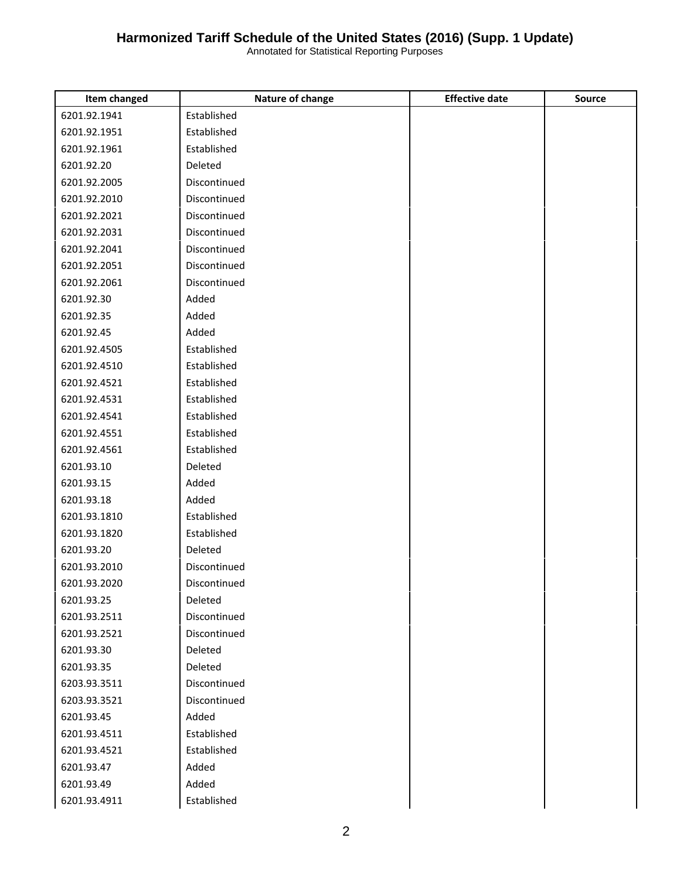| <b>Item changed</b> | Nature of change | <b>Effective date</b> | Source |
|---------------------|------------------|-----------------------|--------|
| 6201.92.1941        | Established      |                       |        |
| 6201.92.1951        | Established      |                       |        |
| 6201.92.1961        | Established      |                       |        |
| 6201.92.20          | Deleted          |                       |        |
| 6201.92.2005        | Discontinued     |                       |        |
| 6201.92.2010        | Discontinued     |                       |        |
| 6201.92.2021        | Discontinued     |                       |        |
| 6201.92.2031        | Discontinued     |                       |        |
| 6201.92.2041        | Discontinued     |                       |        |
| 6201.92.2051        | Discontinued     |                       |        |
| 6201.92.2061        | Discontinued     |                       |        |
| 6201.92.30          | Added            |                       |        |
| 6201.92.35          | Added            |                       |        |
| 6201.92.45          | Added            |                       |        |
| 6201.92.4505        | Established      |                       |        |
| 6201.92.4510        | Established      |                       |        |
| 6201.92.4521        | Established      |                       |        |
| 6201.92.4531        | Established      |                       |        |
| 6201.92.4541        | Established      |                       |        |
| 6201.92.4551        | Established      |                       |        |
| 6201.92.4561        | Established      |                       |        |
| 6201.93.10          | Deleted          |                       |        |
| 6201.93.15          | Added            |                       |        |
| 6201.93.18          | Added            |                       |        |
| 6201.93.1810        | Established      |                       |        |
| 6201.93.1820        | Established      |                       |        |
| 6201.93.20          | Deleted          |                       |        |
| 6201.93.2010        | Discontinued     |                       |        |
| 6201.93.2020        | Discontinued     |                       |        |
| 6201.93.25          | Deleted          |                       |        |
| 6201.93.2511        | Discontinued     |                       |        |
| 6201.93.2521        | Discontinued     |                       |        |
| 6201.93.30          | Deleted          |                       |        |
| 6201.93.35          | Deleted          |                       |        |
| 6203.93.3511        | Discontinued     |                       |        |
| 6203.93.3521        | Discontinued     |                       |        |
| 6201.93.45          | Added            |                       |        |
| 6201.93.4511        | Established      |                       |        |
| 6201.93.4521        | Established      |                       |        |
| 6201.93.47          | Added            |                       |        |
| 6201.93.49          | Added            |                       |        |
| 6201.93.4911        | Established      |                       |        |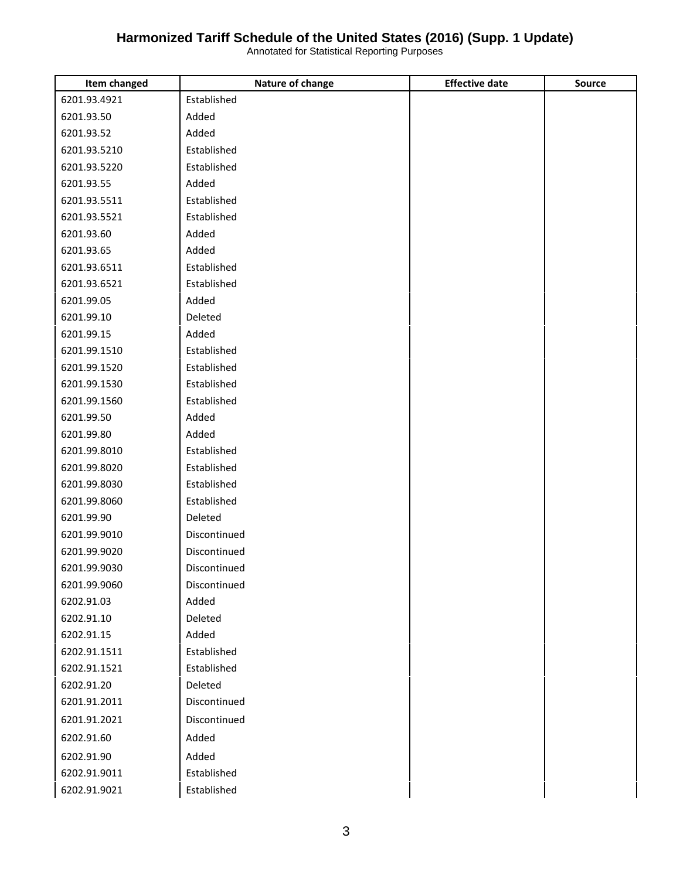| Item changed | Nature of change | <b>Effective date</b> | <b>Source</b> |
|--------------|------------------|-----------------------|---------------|
| 6201.93.4921 | Established      |                       |               |
| 6201.93.50   | Added            |                       |               |
| 6201.93.52   | Added            |                       |               |
| 6201.93.5210 | Established      |                       |               |
| 6201.93.5220 | Established      |                       |               |
| 6201.93.55   | Added            |                       |               |
| 6201.93.5511 | Established      |                       |               |
| 6201.93.5521 | Established      |                       |               |
| 6201.93.60   | Added            |                       |               |
| 6201.93.65   | Added            |                       |               |
| 6201.93.6511 | Established      |                       |               |
| 6201.93.6521 | Established      |                       |               |
| 6201.99.05   | Added            |                       |               |
| 6201.99.10   | Deleted          |                       |               |
| 6201.99.15   | Added            |                       |               |
| 6201.99.1510 | Established      |                       |               |
| 6201.99.1520 | Established      |                       |               |
| 6201.99.1530 | Established      |                       |               |
| 6201.99.1560 | Established      |                       |               |
| 6201.99.50   | Added            |                       |               |
| 6201.99.80   | Added            |                       |               |
| 6201.99.8010 | Established      |                       |               |
| 6201.99.8020 | Established      |                       |               |
| 6201.99.8030 | Established      |                       |               |
| 6201.99.8060 | Established      |                       |               |
| 6201.99.90   | Deleted          |                       |               |
| 6201.99.9010 | Discontinued     |                       |               |
| 6201.99.9020 | Discontinued     |                       |               |
| 6201.99.9030 | Discontinued     |                       |               |
| 6201.99.9060 | Discontinued     |                       |               |
| 6202.91.03   | Added            |                       |               |
| 6202.91.10   | Deleted          |                       |               |
| 6202.91.15   | Added            |                       |               |
| 6202.91.1511 | Established      |                       |               |
| 6202.91.1521 | Established      |                       |               |
| 6202.91.20   | Deleted          |                       |               |
| 6201.91.2011 | Discontinued     |                       |               |
| 6201.91.2021 | Discontinued     |                       |               |
| 6202.91.60   | Added            |                       |               |
| 6202.91.90   | Added            |                       |               |
| 6202.91.9011 | Established      |                       |               |
| 6202.91.9021 | Established      |                       |               |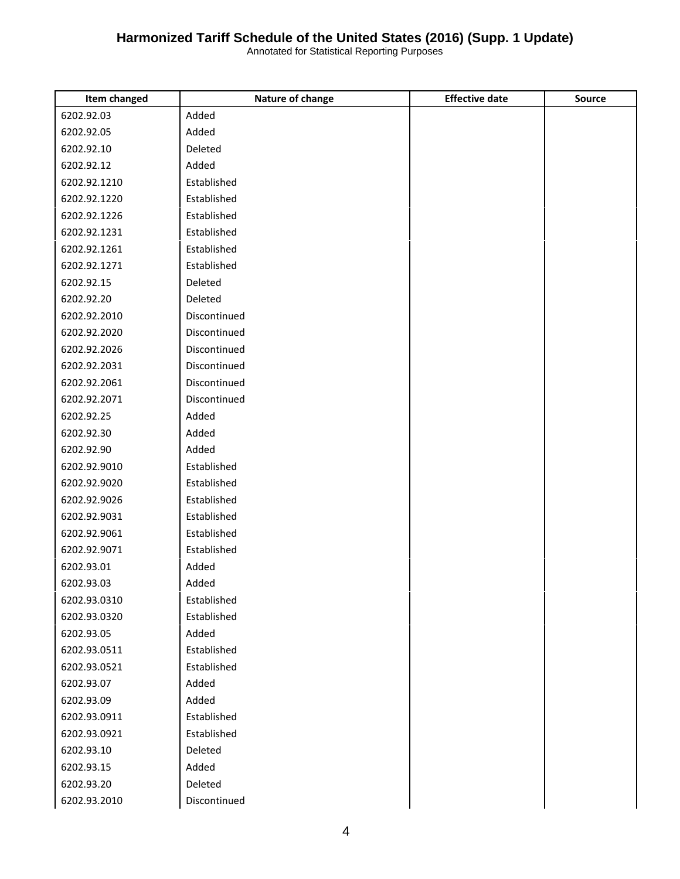| Item changed | Nature of change | <b>Effective date</b> | <b>Source</b> |
|--------------|------------------|-----------------------|---------------|
| 6202.92.03   | Added            |                       |               |
| 6202.92.05   | Added            |                       |               |
| 6202.92.10   | Deleted          |                       |               |
| 6202.92.12   | Added            |                       |               |
| 6202.92.1210 | Established      |                       |               |
| 6202.92.1220 | Established      |                       |               |
| 6202.92.1226 | Established      |                       |               |
| 6202.92.1231 | Established      |                       |               |
| 6202.92.1261 | Established      |                       |               |
| 6202.92.1271 | Established      |                       |               |
| 6202.92.15   | Deleted          |                       |               |
| 6202.92.20   | Deleted          |                       |               |
| 6202.92.2010 | Discontinued     |                       |               |
| 6202.92.2020 | Discontinued     |                       |               |
| 6202.92.2026 | Discontinued     |                       |               |
| 6202.92.2031 | Discontinued     |                       |               |
| 6202.92.2061 | Discontinued     |                       |               |
| 6202.92.2071 | Discontinued     |                       |               |
| 6202.92.25   | Added            |                       |               |
| 6202.92.30   | Added            |                       |               |
| 6202.92.90   | Added            |                       |               |
| 6202.92.9010 | Established      |                       |               |
| 6202.92.9020 | Established      |                       |               |
| 6202.92.9026 | Established      |                       |               |
| 6202.92.9031 | Established      |                       |               |
| 6202.92.9061 | Established      |                       |               |
| 6202.92.9071 | Established      |                       |               |
| 6202.93.01   | Added            |                       |               |
| 6202.93.03   | Added            |                       |               |
| 6202.93.0310 | Established      |                       |               |
| 6202.93.0320 | Established      |                       |               |
| 6202.93.05   | Added            |                       |               |
| 6202.93.0511 | Established      |                       |               |
| 6202.93.0521 | Established      |                       |               |
| 6202.93.07   | Added            |                       |               |
| 6202.93.09   | Added            |                       |               |
| 6202.93.0911 | Established      |                       |               |
| 6202.93.0921 | Established      |                       |               |
| 6202.93.10   | Deleted          |                       |               |
| 6202.93.15   | Added            |                       |               |
| 6202.93.20   | Deleted          |                       |               |
| 6202.93.2010 | Discontinued     |                       |               |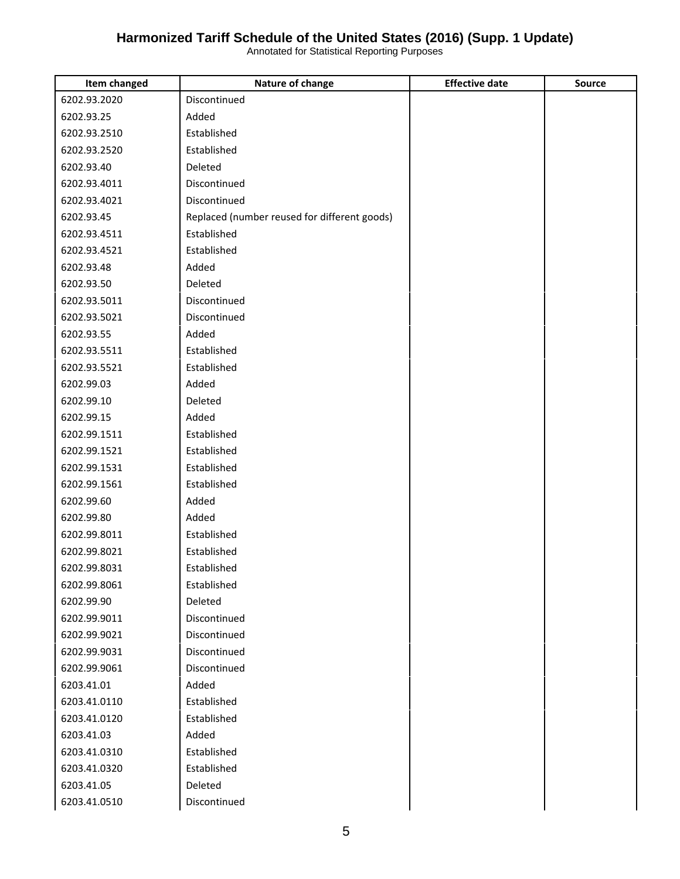| Item changed | Nature of change                             | <b>Effective date</b> | <b>Source</b> |
|--------------|----------------------------------------------|-----------------------|---------------|
| 6202.93.2020 | Discontinued                                 |                       |               |
| 6202.93.25   | Added                                        |                       |               |
| 6202.93.2510 | Established                                  |                       |               |
| 6202.93.2520 | Established                                  |                       |               |
| 6202.93.40   | Deleted                                      |                       |               |
| 6202.93.4011 | Discontinued                                 |                       |               |
| 6202.93.4021 | Discontinued                                 |                       |               |
| 6202.93.45   | Replaced (number reused for different goods) |                       |               |
| 6202.93.4511 | Established                                  |                       |               |
| 6202.93.4521 | Established                                  |                       |               |
| 6202.93.48   | Added                                        |                       |               |
| 6202.93.50   | Deleted                                      |                       |               |
| 6202.93.5011 | Discontinued                                 |                       |               |
| 6202.93.5021 | Discontinued                                 |                       |               |
| 6202.93.55   | Added                                        |                       |               |
| 6202.93.5511 | Established                                  |                       |               |
| 6202.93.5521 | Established                                  |                       |               |
| 6202.99.03   | Added                                        |                       |               |
| 6202.99.10   | Deleted                                      |                       |               |
| 6202.99.15   | Added                                        |                       |               |
| 6202.99.1511 | Established                                  |                       |               |
| 6202.99.1521 | Established                                  |                       |               |
| 6202.99.1531 | Established                                  |                       |               |
| 6202.99.1561 | Established                                  |                       |               |
| 6202.99.60   | Added                                        |                       |               |
| 6202.99.80   | Added                                        |                       |               |
| 6202.99.8011 | Established                                  |                       |               |
| 6202.99.8021 | Established                                  |                       |               |
| 6202.99.8031 | Established                                  |                       |               |
| 6202.99.8061 | Established                                  |                       |               |
| 6202.99.90   | Deleted                                      |                       |               |
| 6202.99.9011 | Discontinued                                 |                       |               |
| 6202.99.9021 | Discontinued                                 |                       |               |
| 6202.99.9031 | Discontinued                                 |                       |               |
| 6202.99.9061 | Discontinued                                 |                       |               |
| 6203.41.01   | Added                                        |                       |               |
| 6203.41.0110 | Established                                  |                       |               |
| 6203.41.0120 | Established                                  |                       |               |
| 6203.41.03   | Added                                        |                       |               |
| 6203.41.0310 | Established                                  |                       |               |
| 6203.41.0320 | Established                                  |                       |               |
| 6203.41.05   | Deleted                                      |                       |               |
| 6203.41.0510 | Discontinued                                 |                       |               |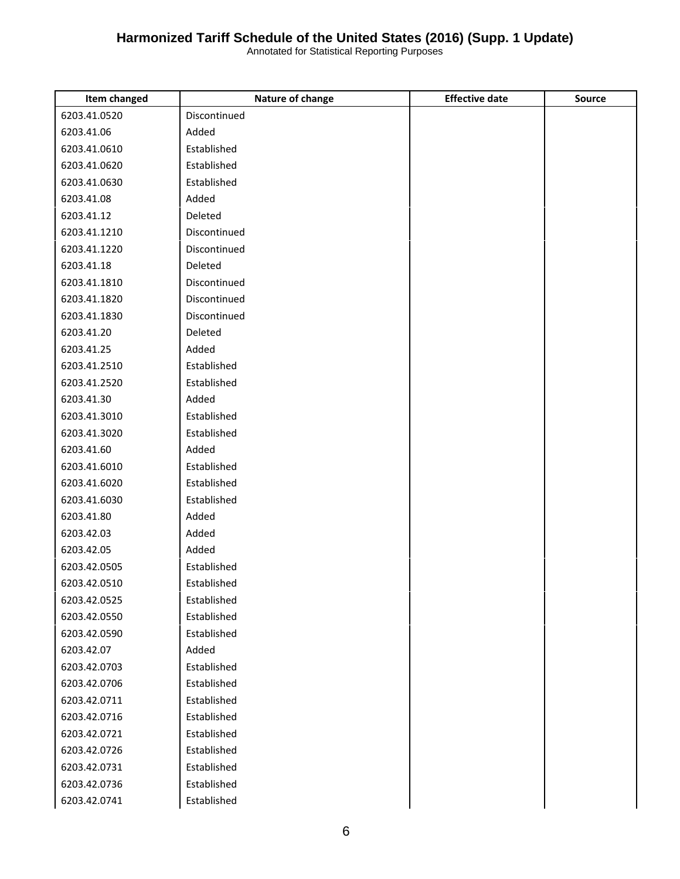| Item changed | Nature of change | <b>Effective date</b> | Source |
|--------------|------------------|-----------------------|--------|
| 6203.41.0520 | Discontinued     |                       |        |
| 6203.41.06   | Added            |                       |        |
| 6203.41.0610 | Established      |                       |        |
| 6203.41.0620 | Established      |                       |        |
| 6203.41.0630 | Established      |                       |        |
| 6203.41.08   | Added            |                       |        |
| 6203.41.12   | Deleted          |                       |        |
| 6203.41.1210 | Discontinued     |                       |        |
| 6203.41.1220 | Discontinued     |                       |        |
| 6203.41.18   | Deleted          |                       |        |
| 6203.41.1810 | Discontinued     |                       |        |
| 6203.41.1820 | Discontinued     |                       |        |
| 6203.41.1830 | Discontinued     |                       |        |
| 6203.41.20   | Deleted          |                       |        |
| 6203.41.25   | Added            |                       |        |
| 6203.41.2510 | Established      |                       |        |
| 6203.41.2520 | Established      |                       |        |
| 6203.41.30   | Added            |                       |        |
| 6203.41.3010 | Established      |                       |        |
| 6203.41.3020 | Established      |                       |        |
| 6203.41.60   | Added            |                       |        |
| 6203.41.6010 | Established      |                       |        |
| 6203.41.6020 | Established      |                       |        |
| 6203.41.6030 | Established      |                       |        |
| 6203.41.80   | Added            |                       |        |
| 6203.42.03   | Added            |                       |        |
| 6203.42.05   | Added            |                       |        |
| 6203.42.0505 | Established      |                       |        |
| 6203.42.0510 | Established      |                       |        |
| 6203.42.0525 | Established      |                       |        |
| 6203.42.0550 | Established      |                       |        |
| 6203.42.0590 | Established      |                       |        |
| 6203.42.07   | Added            |                       |        |
| 6203.42.0703 | Established      |                       |        |
| 6203.42.0706 | Established      |                       |        |
| 6203.42.0711 | Established      |                       |        |
| 6203.42.0716 | Established      |                       |        |
| 6203.42.0721 | Established      |                       |        |
| 6203.42.0726 | Established      |                       |        |
| 6203.42.0731 | Established      |                       |        |
| 6203.42.0736 | Established      |                       |        |
| 6203.42.0741 | Established      |                       |        |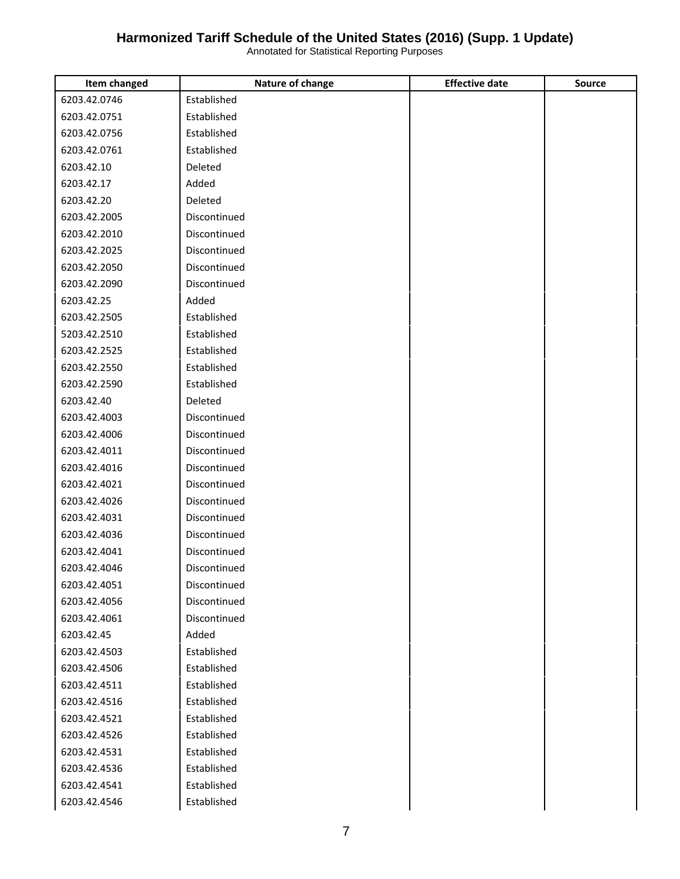| Item changed | Nature of change | <b>Effective date</b> | <b>Source</b> |
|--------------|------------------|-----------------------|---------------|
| 6203.42.0746 | Established      |                       |               |
| 6203.42.0751 | Established      |                       |               |
| 6203.42.0756 | Established      |                       |               |
| 6203.42.0761 | Established      |                       |               |
| 6203.42.10   | Deleted          |                       |               |
| 6203.42.17   | Added            |                       |               |
| 6203.42.20   | Deleted          |                       |               |
| 6203.42.2005 | Discontinued     |                       |               |
| 6203.42.2010 | Discontinued     |                       |               |
| 6203.42.2025 | Discontinued     |                       |               |
| 6203.42.2050 | Discontinued     |                       |               |
| 6203.42.2090 | Discontinued     |                       |               |
| 6203.42.25   | Added            |                       |               |
| 6203.42.2505 | Established      |                       |               |
| 5203.42.2510 | Established      |                       |               |
| 6203.42.2525 | Established      |                       |               |
| 6203.42.2550 | Established      |                       |               |
| 6203.42.2590 | Established      |                       |               |
| 6203.42.40   | Deleted          |                       |               |
| 6203.42.4003 | Discontinued     |                       |               |
| 6203.42.4006 | Discontinued     |                       |               |
| 6203.42.4011 | Discontinued     |                       |               |
| 6203.42.4016 | Discontinued     |                       |               |
| 6203.42.4021 | Discontinued     |                       |               |
| 6203.42.4026 | Discontinued     |                       |               |
| 6203.42.4031 | Discontinued     |                       |               |
| 6203.42.4036 | Discontinued     |                       |               |
| 6203.42.4041 | Discontinued     |                       |               |
| 6203.42.4046 | Discontinued     |                       |               |
| 6203.42.4051 | Discontinued     |                       |               |
| 6203.42.4056 | Discontinued     |                       |               |
| 6203.42.4061 | Discontinued     |                       |               |
| 6203.42.45   | Added            |                       |               |
| 6203.42.4503 | Established      |                       |               |
| 6203.42.4506 | Established      |                       |               |
| 6203.42.4511 | Established      |                       |               |
| 6203.42.4516 | Established      |                       |               |
| 6203.42.4521 | Established      |                       |               |
| 6203.42.4526 | Established      |                       |               |
| 6203.42.4531 | Established      |                       |               |
| 6203.42.4536 | Established      |                       |               |
| 6203.42.4541 | Established      |                       |               |
| 6203.42.4546 | Established      |                       |               |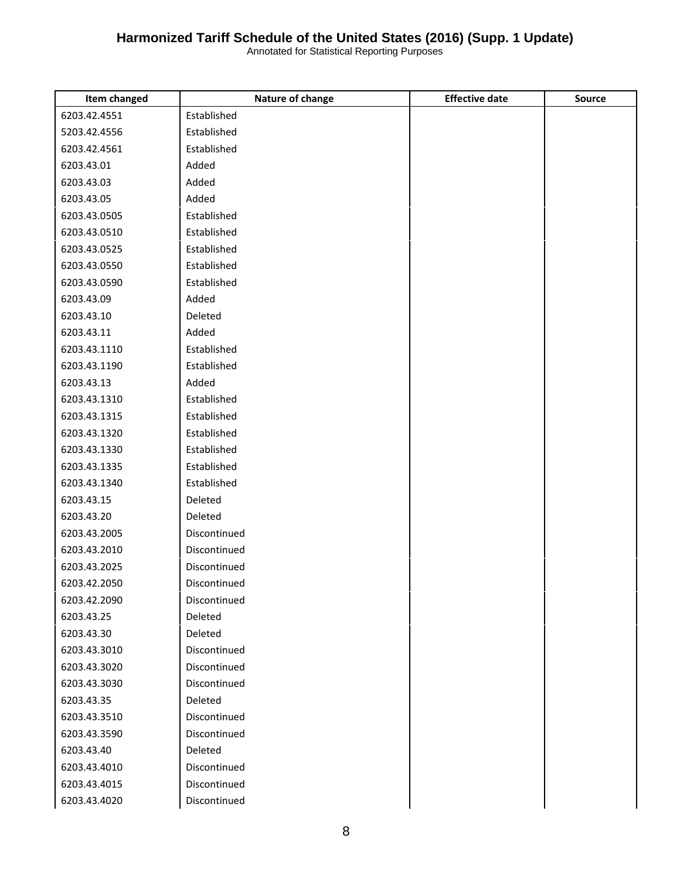| <b>Item changed</b> | Nature of change | <b>Effective date</b> | <b>Source</b> |
|---------------------|------------------|-----------------------|---------------|
| 6203.42.4551        | Established      |                       |               |
| 5203.42.4556        | Established      |                       |               |
| 6203.42.4561        | Established      |                       |               |
| 6203.43.01          | Added            |                       |               |
| 6203.43.03          | Added            |                       |               |
| 6203.43.05          | Added            |                       |               |
| 6203.43.0505        | Established      |                       |               |
| 6203.43.0510        | Established      |                       |               |
| 6203.43.0525        | Established      |                       |               |
| 6203.43.0550        | Established      |                       |               |
| 6203.43.0590        | Established      |                       |               |
| 6203.43.09          | Added            |                       |               |
| 6203.43.10          | Deleted          |                       |               |
| 6203.43.11          | Added            |                       |               |
| 6203.43.1110        | Established      |                       |               |
| 6203.43.1190        | Established      |                       |               |
| 6203.43.13          | Added            |                       |               |
| 6203.43.1310        | Established      |                       |               |
| 6203.43.1315        | Established      |                       |               |
| 6203.43.1320        | Established      |                       |               |
| 6203.43.1330        | Established      |                       |               |
| 6203.43.1335        | Established      |                       |               |
| 6203.43.1340        | Established      |                       |               |
| 6203.43.15          | Deleted          |                       |               |
| 6203.43.20          | Deleted          |                       |               |
| 6203.43.2005        | Discontinued     |                       |               |
| 6203.43.2010        | Discontinued     |                       |               |
| 6203.43.2025        | Discontinued     |                       |               |
| 6203.42.2050        | Discontinued     |                       |               |
| 6203.42.2090        | Discontinued     |                       |               |
| 6203.43.25          | Deleted          |                       |               |
| 6203.43.30          | Deleted          |                       |               |
| 6203.43.3010        | Discontinued     |                       |               |
| 6203.43.3020        | Discontinued     |                       |               |
| 6203.43.3030        | Discontinued     |                       |               |
| 6203.43.35          | Deleted          |                       |               |
| 6203.43.3510        | Discontinued     |                       |               |
| 6203.43.3590        | Discontinued     |                       |               |
| 6203.43.40          | Deleted          |                       |               |
| 6203.43.4010        | Discontinued     |                       |               |
| 6203.43.4015        | Discontinued     |                       |               |
| 6203.43.4020        | Discontinued     |                       |               |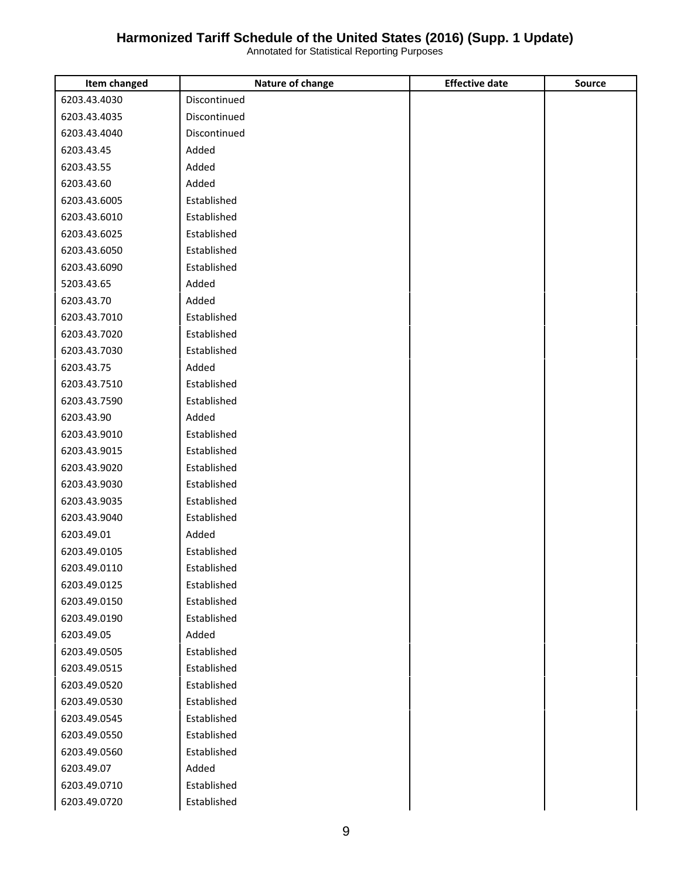| Item changed | Nature of change | <b>Effective date</b> | <b>Source</b> |
|--------------|------------------|-----------------------|---------------|
| 6203.43.4030 | Discontinued     |                       |               |
| 6203.43.4035 | Discontinued     |                       |               |
| 6203.43.4040 | Discontinued     |                       |               |
| 6203.43.45   | Added            |                       |               |
| 6203.43.55   | Added            |                       |               |
| 6203.43.60   | Added            |                       |               |
| 6203.43.6005 | Established      |                       |               |
| 6203.43.6010 | Established      |                       |               |
| 6203.43.6025 | Established      |                       |               |
| 6203.43.6050 | Established      |                       |               |
| 6203.43.6090 | Established      |                       |               |
| 5203.43.65   | Added            |                       |               |
| 6203.43.70   | Added            |                       |               |
| 6203.43.7010 | Established      |                       |               |
| 6203.43.7020 | Established      |                       |               |
| 6203.43.7030 | Established      |                       |               |
| 6203.43.75   | Added            |                       |               |
| 6203.43.7510 | Established      |                       |               |
| 6203.43.7590 | Established      |                       |               |
| 6203.43.90   | Added            |                       |               |
| 6203.43.9010 | Established      |                       |               |
| 6203.43.9015 | Established      |                       |               |
| 6203.43.9020 | Established      |                       |               |
| 6203.43.9030 | Established      |                       |               |
| 6203.43.9035 | Established      |                       |               |
| 6203.43.9040 | Established      |                       |               |
| 6203.49.01   | Added            |                       |               |
| 6203.49.0105 | Established      |                       |               |
| 6203.49.0110 | Established      |                       |               |
| 6203.49.0125 | Established      |                       |               |
| 6203.49.0150 | Established      |                       |               |
| 6203.49.0190 | Established      |                       |               |
| 6203.49.05   | Added            |                       |               |
| 6203.49.0505 | Established      |                       |               |
| 6203.49.0515 | Established      |                       |               |
| 6203.49.0520 | Established      |                       |               |
| 6203.49.0530 | Established      |                       |               |
| 6203.49.0545 | Established      |                       |               |
| 6203.49.0550 | Established      |                       |               |
| 6203.49.0560 | Established      |                       |               |
| 6203.49.07   | Added            |                       |               |
| 6203.49.0710 | Established      |                       |               |
| 6203.49.0720 | Established      |                       |               |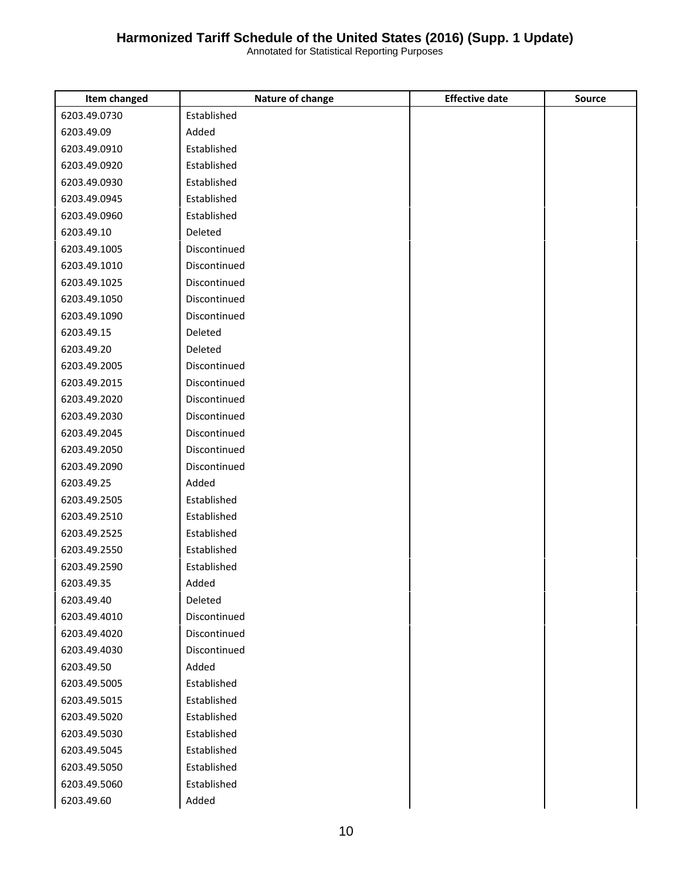| Item changed | Nature of change | <b>Effective date</b> | <b>Source</b> |
|--------------|------------------|-----------------------|---------------|
| 6203.49.0730 | Established      |                       |               |
| 6203.49.09   | Added            |                       |               |
| 6203.49.0910 | Established      |                       |               |
| 6203.49.0920 | Established      |                       |               |
| 6203.49.0930 | Established      |                       |               |
| 6203.49.0945 | Established      |                       |               |
| 6203.49.0960 | Established      |                       |               |
| 6203.49.10   | Deleted          |                       |               |
| 6203.49.1005 | Discontinued     |                       |               |
| 6203.49.1010 | Discontinued     |                       |               |
| 6203.49.1025 | Discontinued     |                       |               |
| 6203.49.1050 | Discontinued     |                       |               |
| 6203.49.1090 | Discontinued     |                       |               |
| 6203.49.15   | Deleted          |                       |               |
| 6203.49.20   | Deleted          |                       |               |
| 6203.49.2005 | Discontinued     |                       |               |
| 6203.49.2015 | Discontinued     |                       |               |
| 6203.49.2020 | Discontinued     |                       |               |
| 6203.49.2030 | Discontinued     |                       |               |
| 6203.49.2045 | Discontinued     |                       |               |
| 6203.49.2050 | Discontinued     |                       |               |
| 6203.49.2090 | Discontinued     |                       |               |
| 6203.49.25   | Added            |                       |               |
| 6203.49.2505 | Established      |                       |               |
| 6203.49.2510 | Established      |                       |               |
| 6203.49.2525 | Established      |                       |               |
| 6203.49.2550 | Established      |                       |               |
| 6203.49.2590 | Established      |                       |               |
| 6203.49.35   | Added            |                       |               |
| 6203.49.40   | Deleted          |                       |               |
| 6203.49.4010 | Discontinued     |                       |               |
| 6203.49.4020 | Discontinued     |                       |               |
| 6203.49.4030 | Discontinued     |                       |               |
| 6203.49.50   | Added            |                       |               |
| 6203.49.5005 | Established      |                       |               |
| 6203.49.5015 | Established      |                       |               |
| 6203.49.5020 | Established      |                       |               |
| 6203.49.5030 | Established      |                       |               |
| 6203.49.5045 | Established      |                       |               |
| 6203.49.5050 | Established      |                       |               |
| 6203.49.5060 | Established      |                       |               |
| 6203.49.60   | Added            |                       |               |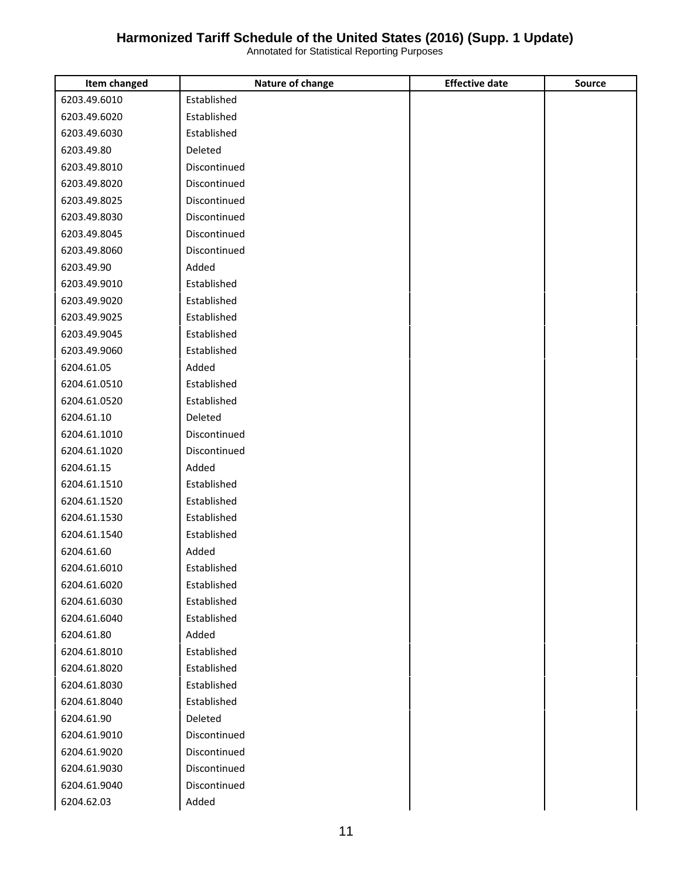| Item changed | Nature of change | <b>Effective date</b> | Source |
|--------------|------------------|-----------------------|--------|
| 6203.49.6010 | Established      |                       |        |
| 6203.49.6020 | Established      |                       |        |
| 6203.49.6030 | Established      |                       |        |
| 6203.49.80   | Deleted          |                       |        |
| 6203.49.8010 | Discontinued     |                       |        |
| 6203.49.8020 | Discontinued     |                       |        |
| 6203.49.8025 | Discontinued     |                       |        |
| 6203.49.8030 | Discontinued     |                       |        |
| 6203.49.8045 | Discontinued     |                       |        |
| 6203.49.8060 | Discontinued     |                       |        |
| 6203.49.90   | Added            |                       |        |
| 6203.49.9010 | Established      |                       |        |
| 6203.49.9020 | Established      |                       |        |
| 6203.49.9025 | Established      |                       |        |
| 6203.49.9045 | Established      |                       |        |
| 6203.49.9060 | Established      |                       |        |
| 6204.61.05   | Added            |                       |        |
| 6204.61.0510 | Established      |                       |        |
| 6204.61.0520 | Established      |                       |        |
| 6204.61.10   | Deleted          |                       |        |
| 6204.61.1010 | Discontinued     |                       |        |
| 6204.61.1020 | Discontinued     |                       |        |
| 6204.61.15   | Added            |                       |        |
| 6204.61.1510 | Established      |                       |        |
| 6204.61.1520 | Established      |                       |        |
| 6204.61.1530 | Established      |                       |        |
| 6204.61.1540 | Established      |                       |        |
| 6204.61.60   | Added            |                       |        |
| 6204.61.6010 | Established      |                       |        |
| 6204.61.6020 | Established      |                       |        |
| 6204.61.6030 | Established      |                       |        |
| 6204.61.6040 | Established      |                       |        |
| 6204.61.80   | Added            |                       |        |
| 6204.61.8010 | Established      |                       |        |
| 6204.61.8020 | Established      |                       |        |
| 6204.61.8030 | Established      |                       |        |
| 6204.61.8040 | Established      |                       |        |
| 6204.61.90   | Deleted          |                       |        |
| 6204.61.9010 | Discontinued     |                       |        |
| 6204.61.9020 | Discontinued     |                       |        |
| 6204.61.9030 | Discontinued     |                       |        |
| 6204.61.9040 | Discontinued     |                       |        |
| 6204.62.03   | Added            |                       |        |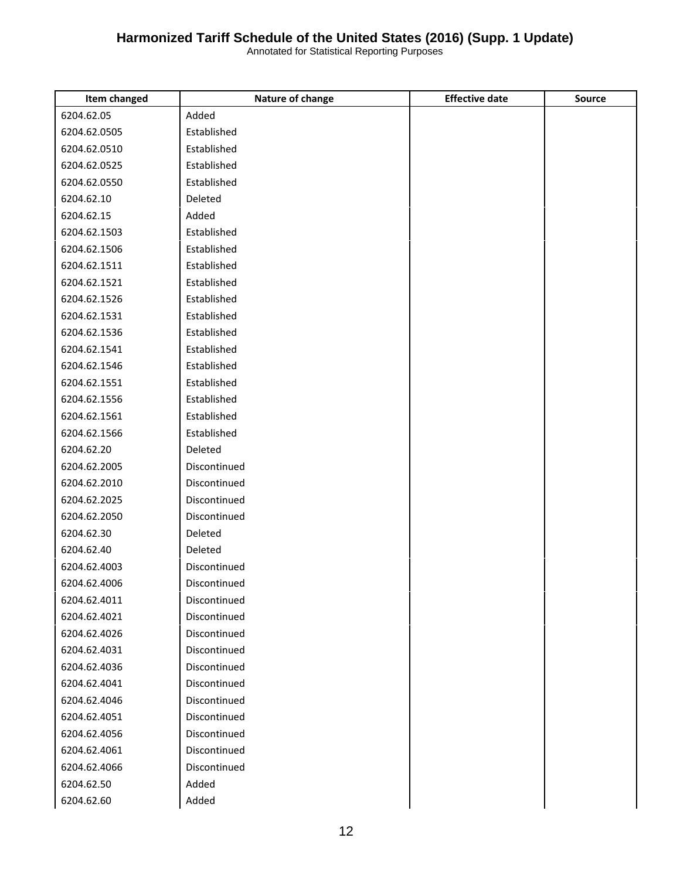| Item changed | Nature of change | <b>Effective date</b> | <b>Source</b> |
|--------------|------------------|-----------------------|---------------|
| 6204.62.05   | Added            |                       |               |
| 6204.62.0505 | Established      |                       |               |
| 6204.62.0510 | Established      |                       |               |
| 6204.62.0525 | Established      |                       |               |
| 6204.62.0550 | Established      |                       |               |
| 6204.62.10   | Deleted          |                       |               |
| 6204.62.15   | Added            |                       |               |
| 6204.62.1503 | Established      |                       |               |
| 6204.62.1506 | Established      |                       |               |
| 6204.62.1511 | Established      |                       |               |
| 6204.62.1521 | Established      |                       |               |
| 6204.62.1526 | Established      |                       |               |
| 6204.62.1531 | Established      |                       |               |
| 6204.62.1536 | Established      |                       |               |
| 6204.62.1541 | Established      |                       |               |
| 6204.62.1546 | Established      |                       |               |
| 6204.62.1551 | Established      |                       |               |
| 6204.62.1556 | Established      |                       |               |
| 6204.62.1561 | Established      |                       |               |
| 6204.62.1566 | Established      |                       |               |
| 6204.62.20   | Deleted          |                       |               |
| 6204.62.2005 | Discontinued     |                       |               |
| 6204.62.2010 | Discontinued     |                       |               |
| 6204.62.2025 | Discontinued     |                       |               |
| 6204.62.2050 | Discontinued     |                       |               |
| 6204.62.30   | Deleted          |                       |               |
| 6204.62.40   | Deleted          |                       |               |
| 6204.62.4003 | Discontinued     |                       |               |
| 6204.62.4006 | Discontinued     |                       |               |
| 6204.62.4011 | Discontinued     |                       |               |
| 6204.62.4021 | Discontinued     |                       |               |
| 6204.62.4026 | Discontinued     |                       |               |
| 6204.62.4031 | Discontinued     |                       |               |
| 6204.62.4036 | Discontinued     |                       |               |
| 6204.62.4041 | Discontinued     |                       |               |
| 6204.62.4046 | Discontinued     |                       |               |
| 6204.62.4051 | Discontinued     |                       |               |
| 6204.62.4056 | Discontinued     |                       |               |
| 6204.62.4061 | Discontinued     |                       |               |
| 6204.62.4066 | Discontinued     |                       |               |
| 6204.62.50   | Added            |                       |               |
| 6204.62.60   | Added            |                       |               |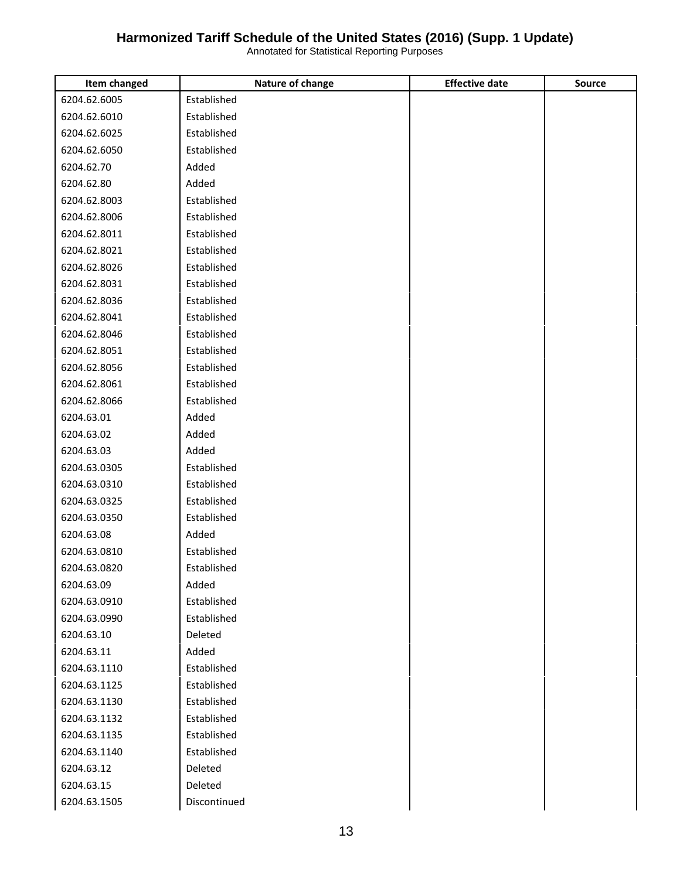| Item changed | Nature of change | <b>Effective date</b> | <b>Source</b> |
|--------------|------------------|-----------------------|---------------|
| 6204.62.6005 | Established      |                       |               |
| 6204.62.6010 | Established      |                       |               |
| 6204.62.6025 | Established      |                       |               |
| 6204.62.6050 | Established      |                       |               |
| 6204.62.70   | Added            |                       |               |
| 6204.62.80   | Added            |                       |               |
| 6204.62.8003 | Established      |                       |               |
| 6204.62.8006 | Established      |                       |               |
| 6204.62.8011 | Established      |                       |               |
| 6204.62.8021 | Established      |                       |               |
| 6204.62.8026 | Established      |                       |               |
| 6204.62.8031 | Established      |                       |               |
| 6204.62.8036 | Established      |                       |               |
| 6204.62.8041 | Established      |                       |               |
| 6204.62.8046 | Established      |                       |               |
| 6204.62.8051 | Established      |                       |               |
| 6204.62.8056 | Established      |                       |               |
| 6204.62.8061 | Established      |                       |               |
| 6204.62.8066 | Established      |                       |               |
| 6204.63.01   | Added            |                       |               |
| 6204.63.02   | Added            |                       |               |
| 6204.63.03   | Added            |                       |               |
| 6204.63.0305 | Established      |                       |               |
| 6204.63.0310 | Established      |                       |               |
| 6204.63.0325 | Established      |                       |               |
| 6204.63.0350 | Established      |                       |               |
| 6204.63.08   | Added            |                       |               |
| 6204.63.0810 | Established      |                       |               |
| 6204.63.0820 | Established      |                       |               |
| 6204.63.09   | Added            |                       |               |
| 6204.63.0910 | Established      |                       |               |
| 6204.63.0990 | Established      |                       |               |
| 6204.63.10   | Deleted          |                       |               |
| 6204.63.11   | Added            |                       |               |
| 6204.63.1110 | Established      |                       |               |
| 6204.63.1125 | Established      |                       |               |
| 6204.63.1130 | Established      |                       |               |
| 6204.63.1132 | Established      |                       |               |
| 6204.63.1135 | Established      |                       |               |
| 6204.63.1140 | Established      |                       |               |
| 6204.63.12   | Deleted          |                       |               |
| 6204.63.15   | Deleted          |                       |               |
| 6204.63.1505 | Discontinued     |                       |               |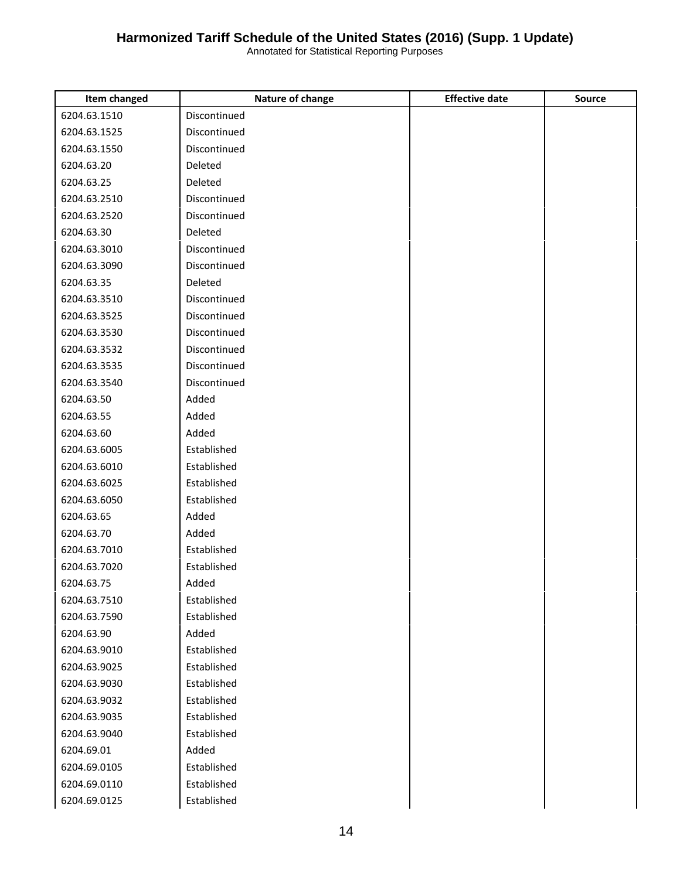| Item changed | Nature of change | <b>Effective date</b> | <b>Source</b> |
|--------------|------------------|-----------------------|---------------|
| 6204.63.1510 | Discontinued     |                       |               |
| 6204.63.1525 | Discontinued     |                       |               |
| 6204.63.1550 | Discontinued     |                       |               |
| 6204.63.20   | Deleted          |                       |               |
| 6204.63.25   | Deleted          |                       |               |
| 6204.63.2510 | Discontinued     |                       |               |
| 6204.63.2520 | Discontinued     |                       |               |
| 6204.63.30   | Deleted          |                       |               |
| 6204.63.3010 | Discontinued     |                       |               |
| 6204.63.3090 | Discontinued     |                       |               |
| 6204.63.35   | Deleted          |                       |               |
| 6204.63.3510 | Discontinued     |                       |               |
| 6204.63.3525 | Discontinued     |                       |               |
| 6204.63.3530 | Discontinued     |                       |               |
| 6204.63.3532 | Discontinued     |                       |               |
| 6204.63.3535 | Discontinued     |                       |               |
| 6204.63.3540 | Discontinued     |                       |               |
| 6204.63.50   | Added            |                       |               |
| 6204.63.55   | Added            |                       |               |
| 6204.63.60   | Added            |                       |               |
| 6204.63.6005 | Established      |                       |               |
| 6204.63.6010 | Established      |                       |               |
| 6204.63.6025 | Established      |                       |               |
| 6204.63.6050 | Established      |                       |               |
| 6204.63.65   | Added            |                       |               |
| 6204.63.70   | Added            |                       |               |
| 6204.63.7010 | Established      |                       |               |
| 6204.63.7020 | Established      |                       |               |
| 6204.63.75   | Added            |                       |               |
| 6204.63.7510 | Established      |                       |               |
| 6204.63.7590 | Established      |                       |               |
| 6204.63.90   | Added            |                       |               |
| 6204.63.9010 | Established      |                       |               |
| 6204.63.9025 | Established      |                       |               |
| 6204.63.9030 | Established      |                       |               |
| 6204.63.9032 | Established      |                       |               |
| 6204.63.9035 | Established      |                       |               |
| 6204.63.9040 | Established      |                       |               |
| 6204.69.01   | Added            |                       |               |
| 6204.69.0105 | Established      |                       |               |
| 6204.69.0110 | Established      |                       |               |
| 6204.69.0125 | Established      |                       |               |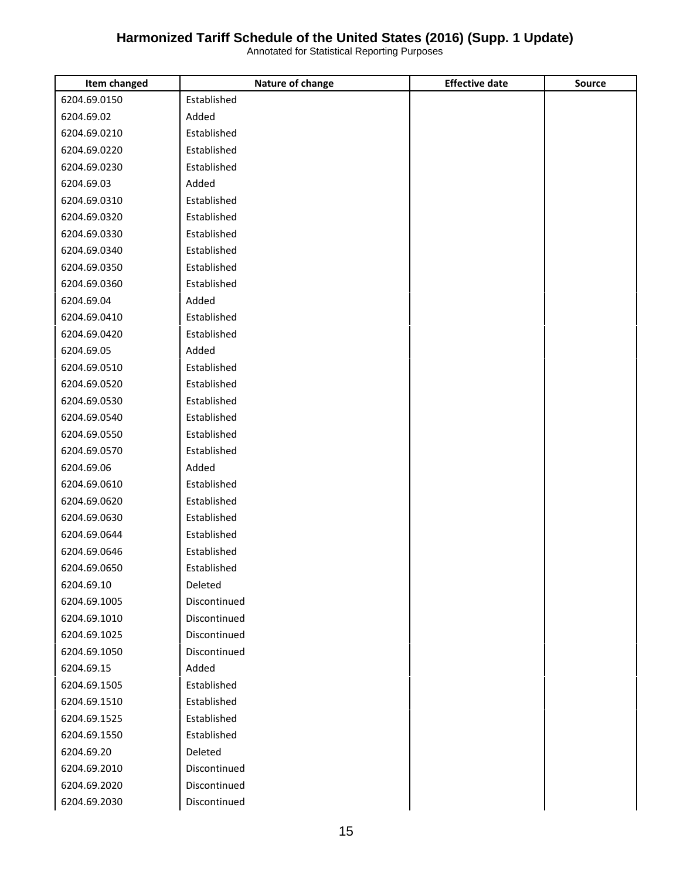| Item changed | Nature of change | <b>Effective date</b> | <b>Source</b> |
|--------------|------------------|-----------------------|---------------|
| 6204.69.0150 | Established      |                       |               |
| 6204.69.02   | Added            |                       |               |
| 6204.69.0210 | Established      |                       |               |
| 6204.69.0220 | Established      |                       |               |
| 6204.69.0230 | Established      |                       |               |
| 6204.69.03   | Added            |                       |               |
| 6204.69.0310 | Established      |                       |               |
| 6204.69.0320 | Established      |                       |               |
| 6204.69.0330 | Established      |                       |               |
| 6204.69.0340 | Established      |                       |               |
| 6204.69.0350 | Established      |                       |               |
| 6204.69.0360 | Established      |                       |               |
| 6204.69.04   | Added            |                       |               |
| 6204.69.0410 | Established      |                       |               |
| 6204.69.0420 | Established      |                       |               |
| 6204.69.05   | Added            |                       |               |
| 6204.69.0510 | Established      |                       |               |
| 6204.69.0520 | Established      |                       |               |
| 6204.69.0530 | Established      |                       |               |
| 6204.69.0540 | Established      |                       |               |
| 6204.69.0550 | Established      |                       |               |
| 6204.69.0570 | Established      |                       |               |
| 6204.69.06   | Added            |                       |               |
| 6204.69.0610 | Established      |                       |               |
| 6204.69.0620 | Established      |                       |               |
| 6204.69.0630 | Established      |                       |               |
| 6204.69.0644 | Established      |                       |               |
| 6204.69.0646 | Established      |                       |               |
| 6204.69.0650 | Established      |                       |               |
| 6204.69.10   | Deleted          |                       |               |
| 6204.69.1005 | Discontinued     |                       |               |
| 6204.69.1010 | Discontinued     |                       |               |
| 6204.69.1025 | Discontinued     |                       |               |
| 6204.69.1050 | Discontinued     |                       |               |
| 6204.69.15   | Added            |                       |               |
| 6204.69.1505 | Established      |                       |               |
| 6204.69.1510 | Established      |                       |               |
| 6204.69.1525 | Established      |                       |               |
| 6204.69.1550 | Established      |                       |               |
| 6204.69.20   | Deleted          |                       |               |
| 6204.69.2010 | Discontinued     |                       |               |
| 6204.69.2020 | Discontinued     |                       |               |
| 6204.69.2030 | Discontinued     |                       |               |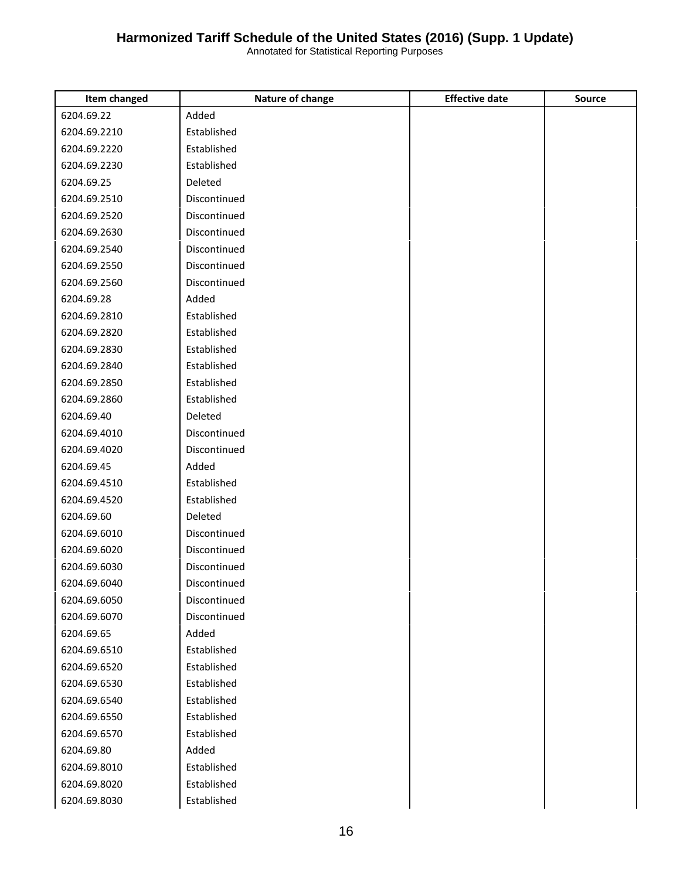| Item changed | Nature of change | <b>Effective date</b> | <b>Source</b> |
|--------------|------------------|-----------------------|---------------|
| 6204.69.22   | Added            |                       |               |
| 6204.69.2210 | Established      |                       |               |
| 6204.69.2220 | Established      |                       |               |
| 6204.69.2230 | Established      |                       |               |
| 6204.69.25   | Deleted          |                       |               |
| 6204.69.2510 | Discontinued     |                       |               |
| 6204.69.2520 | Discontinued     |                       |               |
| 6204.69.2630 | Discontinued     |                       |               |
| 6204.69.2540 | Discontinued     |                       |               |
| 6204.69.2550 | Discontinued     |                       |               |
| 6204.69.2560 | Discontinued     |                       |               |
| 6204.69.28   | Added            |                       |               |
| 6204.69.2810 | Established      |                       |               |
| 6204.69.2820 | Established      |                       |               |
| 6204.69.2830 | Established      |                       |               |
| 6204.69.2840 | Established      |                       |               |
| 6204.69.2850 | Established      |                       |               |
| 6204.69.2860 | Established      |                       |               |
| 6204.69.40   | Deleted          |                       |               |
| 6204.69.4010 | Discontinued     |                       |               |
| 6204.69.4020 | Discontinued     |                       |               |
| 6204.69.45   | Added            |                       |               |
| 6204.69.4510 | Established      |                       |               |
| 6204.69.4520 | Established      |                       |               |
| 6204.69.60   | Deleted          |                       |               |
| 6204.69.6010 | Discontinued     |                       |               |
| 6204.69.6020 | Discontinued     |                       |               |
| 6204.69.6030 | Discontinued     |                       |               |
| 6204.69.6040 | Discontinued     |                       |               |
| 6204.69.6050 | Discontinued     |                       |               |
| 6204.69.6070 | Discontinued     |                       |               |
| 6204.69.65   | Added            |                       |               |
| 6204.69.6510 | Established      |                       |               |
| 6204.69.6520 | Established      |                       |               |
| 6204.69.6530 | Established      |                       |               |
| 6204.69.6540 | Established      |                       |               |
| 6204.69.6550 | Established      |                       |               |
| 6204.69.6570 | Established      |                       |               |
| 6204.69.80   | Added            |                       |               |
| 6204.69.8010 | Established      |                       |               |
| 6204.69.8020 | Established      |                       |               |
| 6204.69.8030 | Established      |                       |               |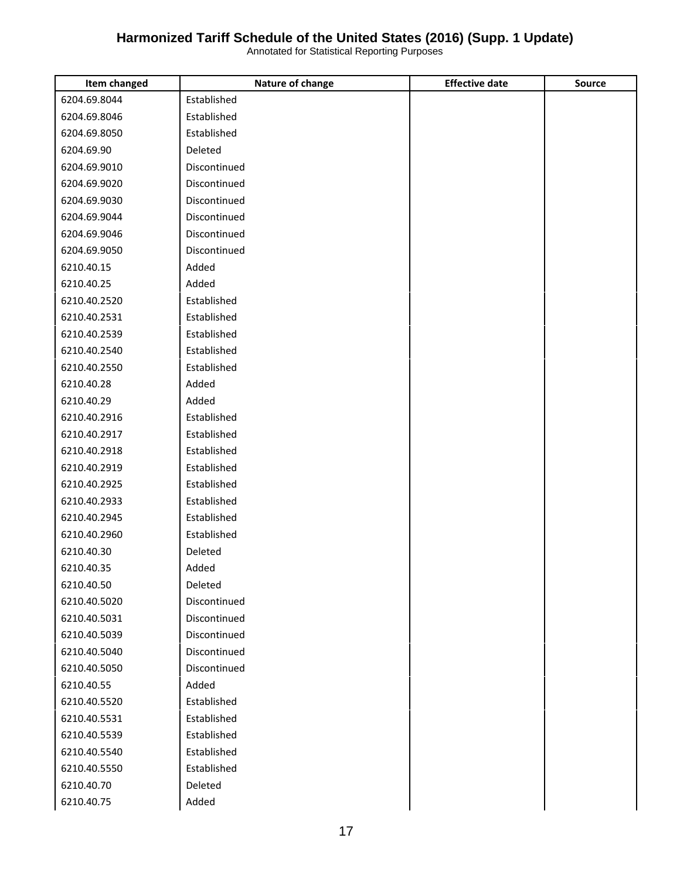| Item changed | Nature of change | <b>Effective date</b> | <b>Source</b> |
|--------------|------------------|-----------------------|---------------|
| 6204.69.8044 | Established      |                       |               |
| 6204.69.8046 | Established      |                       |               |
| 6204.69.8050 | Established      |                       |               |
| 6204.69.90   | Deleted          |                       |               |
| 6204.69.9010 | Discontinued     |                       |               |
| 6204.69.9020 | Discontinued     |                       |               |
| 6204.69.9030 | Discontinued     |                       |               |
| 6204.69.9044 | Discontinued     |                       |               |
| 6204.69.9046 | Discontinued     |                       |               |
| 6204.69.9050 | Discontinued     |                       |               |
| 6210.40.15   | Added            |                       |               |
| 6210.40.25   | Added            |                       |               |
| 6210.40.2520 | Established      |                       |               |
| 6210.40.2531 | Established      |                       |               |
| 6210.40.2539 | Established      |                       |               |
| 6210.40.2540 | Established      |                       |               |
| 6210.40.2550 | Established      |                       |               |
| 6210.40.28   | Added            |                       |               |
| 6210.40.29   | Added            |                       |               |
| 6210.40.2916 | Established      |                       |               |
| 6210.40.2917 | Established      |                       |               |
| 6210.40.2918 | Established      |                       |               |
| 6210.40.2919 | Established      |                       |               |
| 6210.40.2925 | Established      |                       |               |
| 6210.40.2933 | Established      |                       |               |
| 6210.40.2945 | Established      |                       |               |
| 6210.40.2960 | Established      |                       |               |
| 6210.40.30   | Deleted          |                       |               |
| 6210.40.35   | Added            |                       |               |
| 6210.40.50   | Deleted          |                       |               |
| 6210.40.5020 | Discontinued     |                       |               |
| 6210.40.5031 | Discontinued     |                       |               |
| 6210.40.5039 | Discontinued     |                       |               |
| 6210.40.5040 | Discontinued     |                       |               |
| 6210.40.5050 | Discontinued     |                       |               |
| 6210.40.55   | Added            |                       |               |
| 6210.40.5520 | Established      |                       |               |
| 6210.40.5531 | Established      |                       |               |
| 6210.40.5539 | Established      |                       |               |
| 6210.40.5540 | Established      |                       |               |
| 6210.40.5550 | Established      |                       |               |
| 6210.40.70   | Deleted          |                       |               |
| 6210.40.75   | Added            |                       |               |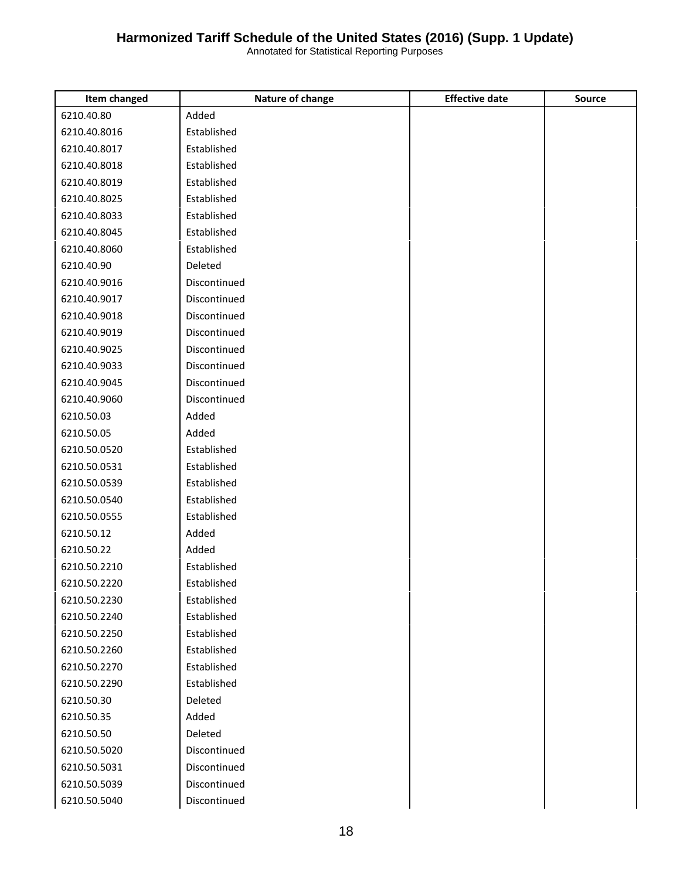| <b>Item changed</b> | Nature of change | <b>Effective date</b> | <b>Source</b> |
|---------------------|------------------|-----------------------|---------------|
| 6210.40.80          | Added            |                       |               |
| 6210.40.8016        | Established      |                       |               |
| 6210.40.8017        | Established      |                       |               |
| 6210.40.8018        | Established      |                       |               |
| 6210.40.8019        | Established      |                       |               |
| 6210.40.8025        | Established      |                       |               |
| 6210.40.8033        | Established      |                       |               |
| 6210.40.8045        | Established      |                       |               |
| 6210.40.8060        | Established      |                       |               |
| 6210.40.90          | Deleted          |                       |               |
| 6210.40.9016        | Discontinued     |                       |               |
| 6210.40.9017        | Discontinued     |                       |               |
| 6210.40.9018        | Discontinued     |                       |               |
| 6210.40.9019        | Discontinued     |                       |               |
| 6210.40.9025        | Discontinued     |                       |               |
| 6210.40.9033        | Discontinued     |                       |               |
| 6210.40.9045        | Discontinued     |                       |               |
| 6210.40.9060        | Discontinued     |                       |               |
| 6210.50.03          | Added            |                       |               |
| 6210.50.05          | Added            |                       |               |
| 6210.50.0520        | Established      |                       |               |
| 6210.50.0531        | Established      |                       |               |
| 6210.50.0539        | Established      |                       |               |
| 6210.50.0540        | Established      |                       |               |
| 6210.50.0555        | Established      |                       |               |
| 6210.50.12          | Added            |                       |               |
| 6210.50.22          | Added            |                       |               |
| 6210.50.2210        | Established      |                       |               |
| 6210.50.2220        | Established      |                       |               |
| 6210.50.2230        | Established      |                       |               |
| 6210.50.2240        | Established      |                       |               |
| 6210.50.2250        | Established      |                       |               |
| 6210.50.2260        | Established      |                       |               |
| 6210.50.2270        | Established      |                       |               |
| 6210.50.2290        | Established      |                       |               |
| 6210.50.30          | Deleted          |                       |               |
| 6210.50.35          | Added            |                       |               |
| 6210.50.50          | Deleted          |                       |               |
| 6210.50.5020        | Discontinued     |                       |               |
| 6210.50.5031        | Discontinued     |                       |               |
| 6210.50.5039        | Discontinued     |                       |               |
| 6210.50.5040        | Discontinued     |                       |               |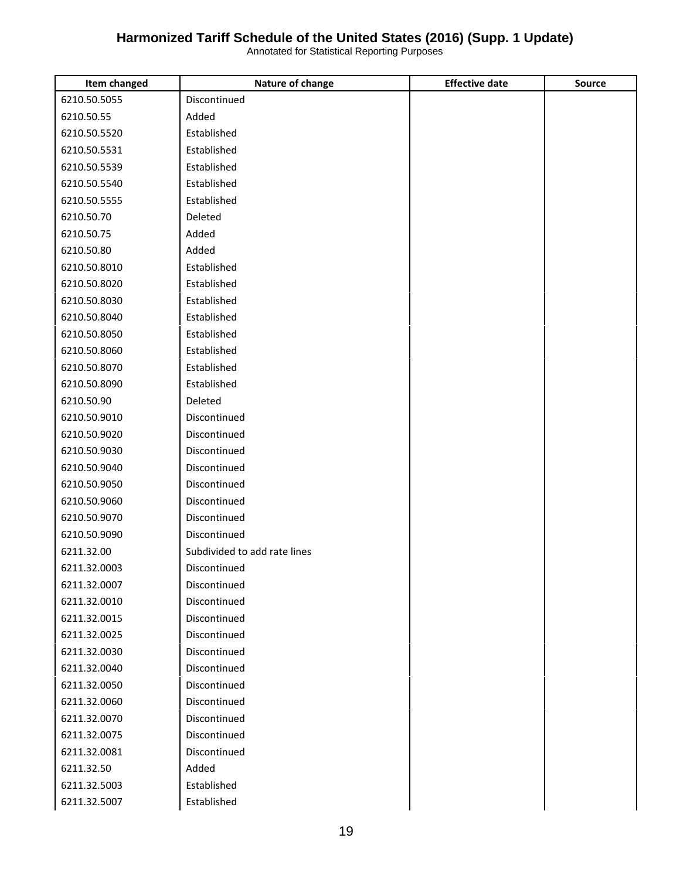| Item changed | Nature of change             | <b>Effective date</b> | <b>Source</b> |
|--------------|------------------------------|-----------------------|---------------|
| 6210.50.5055 | Discontinued                 |                       |               |
| 6210.50.55   | Added                        |                       |               |
| 6210.50.5520 | Established                  |                       |               |
| 6210.50.5531 | Established                  |                       |               |
| 6210.50.5539 | Established                  |                       |               |
| 6210.50.5540 | Established                  |                       |               |
| 6210.50.5555 | Established                  |                       |               |
| 6210.50.70   | Deleted                      |                       |               |
| 6210.50.75   | Added                        |                       |               |
| 6210.50.80   | Added                        |                       |               |
| 6210.50.8010 | Established                  |                       |               |
| 6210.50.8020 | Established                  |                       |               |
| 6210.50.8030 | Established                  |                       |               |
| 6210.50.8040 | Established                  |                       |               |
| 6210.50.8050 | Established                  |                       |               |
| 6210.50.8060 | Established                  |                       |               |
| 6210.50.8070 | Established                  |                       |               |
| 6210.50.8090 | Established                  |                       |               |
| 6210.50.90   | Deleted                      |                       |               |
| 6210.50.9010 | Discontinued                 |                       |               |
| 6210.50.9020 | Discontinued                 |                       |               |
| 6210.50.9030 | Discontinued                 |                       |               |
| 6210.50.9040 | Discontinued                 |                       |               |
| 6210.50.9050 | Discontinued                 |                       |               |
| 6210.50.9060 | Discontinued                 |                       |               |
| 6210.50.9070 | Discontinued                 |                       |               |
| 6210.50.9090 | Discontinued                 |                       |               |
| 6211.32.00   | Subdivided to add rate lines |                       |               |
| 6211.32.0003 | Discontinued                 |                       |               |
| 6211.32.0007 | Discontinued                 |                       |               |
| 6211.32.0010 | Discontinued                 |                       |               |
| 6211.32.0015 | Discontinued                 |                       |               |
| 6211.32.0025 | Discontinued                 |                       |               |
| 6211.32.0030 | Discontinued                 |                       |               |
| 6211.32.0040 | Discontinued                 |                       |               |
| 6211.32.0050 | Discontinued                 |                       |               |
| 6211.32.0060 | Discontinued                 |                       |               |
| 6211.32.0070 | Discontinued                 |                       |               |
| 6211.32.0075 | Discontinued                 |                       |               |
| 6211.32.0081 | Discontinued                 |                       |               |
| 6211.32.50   | Added                        |                       |               |
| 6211.32.5003 | Established                  |                       |               |
| 6211.32.5007 | Established                  |                       |               |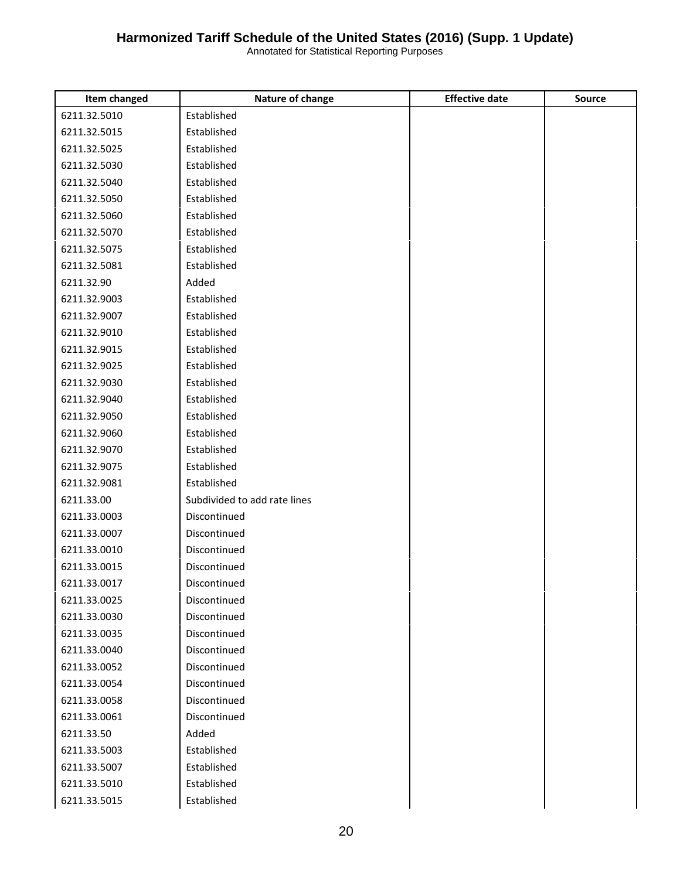| Item changed | Nature of change             | <b>Effective date</b> | <b>Source</b> |
|--------------|------------------------------|-----------------------|---------------|
| 6211.32.5010 | Established                  |                       |               |
| 6211.32.5015 | Established                  |                       |               |
| 6211.32.5025 | Established                  |                       |               |
| 6211.32.5030 | Established                  |                       |               |
| 6211.32.5040 | Established                  |                       |               |
| 6211.32.5050 | Established                  |                       |               |
| 6211.32.5060 | Established                  |                       |               |
| 6211.32.5070 | Established                  |                       |               |
| 6211.32.5075 | Established                  |                       |               |
| 6211.32.5081 | Established                  |                       |               |
| 6211.32.90   | Added                        |                       |               |
| 6211.32.9003 | Established                  |                       |               |
| 6211.32.9007 | Established                  |                       |               |
| 6211.32.9010 | Established                  |                       |               |
| 6211.32.9015 | Established                  |                       |               |
| 6211.32.9025 | Established                  |                       |               |
| 6211.32.9030 | Established                  |                       |               |
| 6211.32.9040 | Established                  |                       |               |
| 6211.32.9050 | Established                  |                       |               |
| 6211.32.9060 | Established                  |                       |               |
| 6211.32.9070 | Established                  |                       |               |
| 6211.32.9075 | Established                  |                       |               |
| 6211.32.9081 | Established                  |                       |               |
| 6211.33.00   | Subdivided to add rate lines |                       |               |
| 6211.33.0003 | Discontinued                 |                       |               |
| 6211.33.0007 | Discontinued                 |                       |               |
| 6211.33.0010 | Discontinued                 |                       |               |
| 6211.33.0015 | Discontinued                 |                       |               |
| 6211.33.0017 | Discontinued                 |                       |               |
| 6211.33.0025 | Discontinued                 |                       |               |
| 6211.33.0030 | Discontinued                 |                       |               |
| 6211.33.0035 | Discontinued                 |                       |               |
| 6211.33.0040 | Discontinued                 |                       |               |
| 6211.33.0052 | Discontinued                 |                       |               |
| 6211.33.0054 | Discontinued                 |                       |               |
| 6211.33.0058 | Discontinued                 |                       |               |
| 6211.33.0061 | Discontinued                 |                       |               |
| 6211.33.50   | Added                        |                       |               |
| 6211.33.5003 | Established                  |                       |               |
| 6211.33.5007 | Established                  |                       |               |
| 6211.33.5010 | Established                  |                       |               |
| 6211.33.5015 | Established                  |                       |               |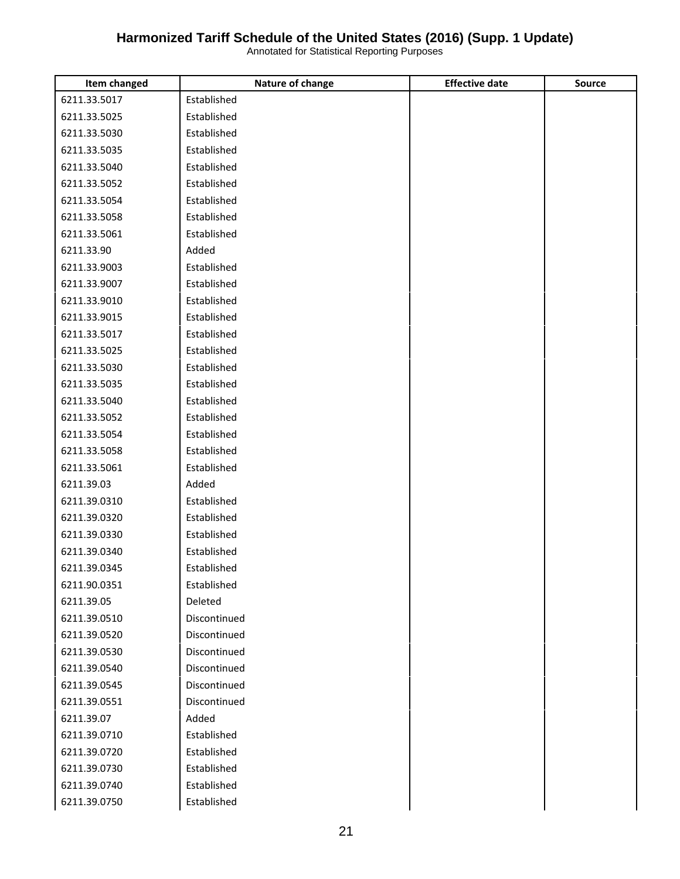| Item changed | Nature of change | <b>Effective date</b> | <b>Source</b> |
|--------------|------------------|-----------------------|---------------|
| 6211.33.5017 | Established      |                       |               |
| 6211.33.5025 | Established      |                       |               |
| 6211.33.5030 | Established      |                       |               |
| 6211.33.5035 | Established      |                       |               |
| 6211.33.5040 | Established      |                       |               |
| 6211.33.5052 | Established      |                       |               |
| 6211.33.5054 | Established      |                       |               |
| 6211.33.5058 | Established      |                       |               |
| 6211.33.5061 | Established      |                       |               |
| 6211.33.90   | Added            |                       |               |
| 6211.33.9003 | Established      |                       |               |
| 6211.33.9007 | Established      |                       |               |
| 6211.33.9010 | Established      |                       |               |
| 6211.33.9015 | Established      |                       |               |
| 6211.33.5017 | Established      |                       |               |
| 6211.33.5025 | Established      |                       |               |
| 6211.33.5030 | Established      |                       |               |
| 6211.33.5035 | Established      |                       |               |
| 6211.33.5040 | Established      |                       |               |
| 6211.33.5052 | Established      |                       |               |
| 6211.33.5054 | Established      |                       |               |
| 6211.33.5058 | Established      |                       |               |
| 6211.33.5061 | Established      |                       |               |
| 6211.39.03   | Added            |                       |               |
| 6211.39.0310 | Established      |                       |               |
| 6211.39.0320 | Established      |                       |               |
| 6211.39.0330 | Established      |                       |               |
| 6211.39.0340 | Established      |                       |               |
| 6211.39.0345 | Established      |                       |               |
| 6211.90.0351 | Established      |                       |               |
| 6211.39.05   | Deleted          |                       |               |
| 6211.39.0510 | Discontinued     |                       |               |
| 6211.39.0520 | Discontinued     |                       |               |
| 6211.39.0530 | Discontinued     |                       |               |
| 6211.39.0540 | Discontinued     |                       |               |
| 6211.39.0545 | Discontinued     |                       |               |
| 6211.39.0551 | Discontinued     |                       |               |
| 6211.39.07   | Added            |                       |               |
| 6211.39.0710 | Established      |                       |               |
| 6211.39.0720 | Established      |                       |               |
| 6211.39.0730 | Established      |                       |               |
| 6211.39.0740 | Established      |                       |               |
| 6211.39.0750 | Established      |                       |               |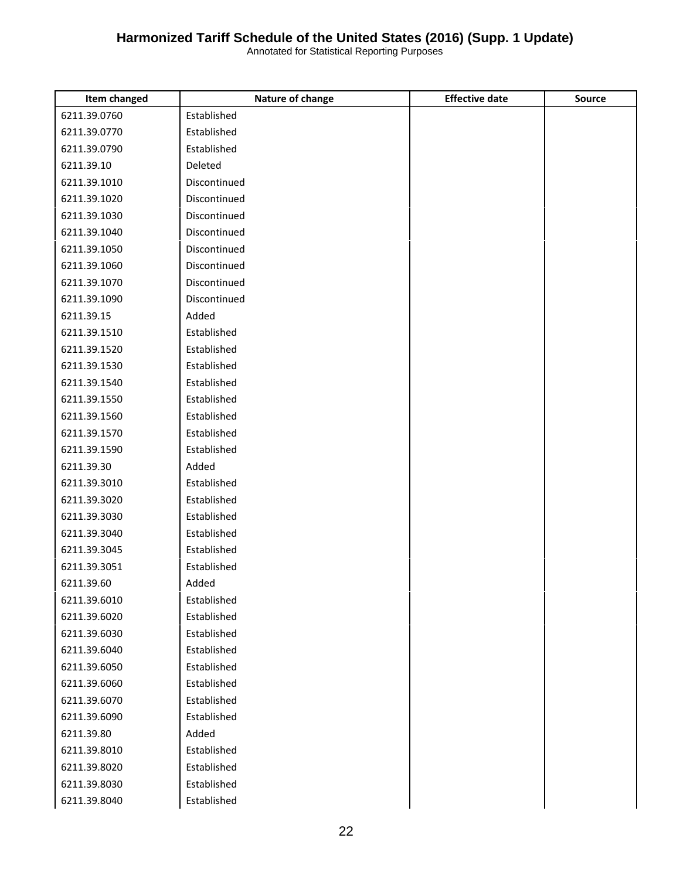| Item changed | Nature of change | <b>Effective date</b> | <b>Source</b> |
|--------------|------------------|-----------------------|---------------|
| 6211.39.0760 | Established      |                       |               |
| 6211.39.0770 | Established      |                       |               |
| 6211.39.0790 | Established      |                       |               |
| 6211.39.10   | Deleted          |                       |               |
| 6211.39.1010 | Discontinued     |                       |               |
| 6211.39.1020 | Discontinued     |                       |               |
| 6211.39.1030 | Discontinued     |                       |               |
| 6211.39.1040 | Discontinued     |                       |               |
| 6211.39.1050 | Discontinued     |                       |               |
| 6211.39.1060 | Discontinued     |                       |               |
| 6211.39.1070 | Discontinued     |                       |               |
| 6211.39.1090 | Discontinued     |                       |               |
| 6211.39.15   | Added            |                       |               |
| 6211.39.1510 | Established      |                       |               |
| 6211.39.1520 | Established      |                       |               |
| 6211.39.1530 | Established      |                       |               |
| 6211.39.1540 | Established      |                       |               |
| 6211.39.1550 | Established      |                       |               |
| 6211.39.1560 | Established      |                       |               |
| 6211.39.1570 | Established      |                       |               |
| 6211.39.1590 | Established      |                       |               |
| 6211.39.30   | Added            |                       |               |
| 6211.39.3010 | Established      |                       |               |
| 6211.39.3020 | Established      |                       |               |
| 6211.39.3030 | Established      |                       |               |
| 6211.39.3040 | Established      |                       |               |
| 6211.39.3045 | Established      |                       |               |
| 6211.39.3051 | Established      |                       |               |
| 6211.39.60   | Added            |                       |               |
| 6211.39.6010 | Established      |                       |               |
| 6211.39.6020 | Established      |                       |               |
| 6211.39.6030 | Established      |                       |               |
| 6211.39.6040 | Established      |                       |               |
| 6211.39.6050 | Established      |                       |               |
| 6211.39.6060 | Established      |                       |               |
| 6211.39.6070 | Established      |                       |               |
| 6211.39.6090 | Established      |                       |               |
| 6211.39.80   | Added            |                       |               |
| 6211.39.8010 | Established      |                       |               |
| 6211.39.8020 | Established      |                       |               |
| 6211.39.8030 | Established      |                       |               |
| 6211.39.8040 | Established      |                       |               |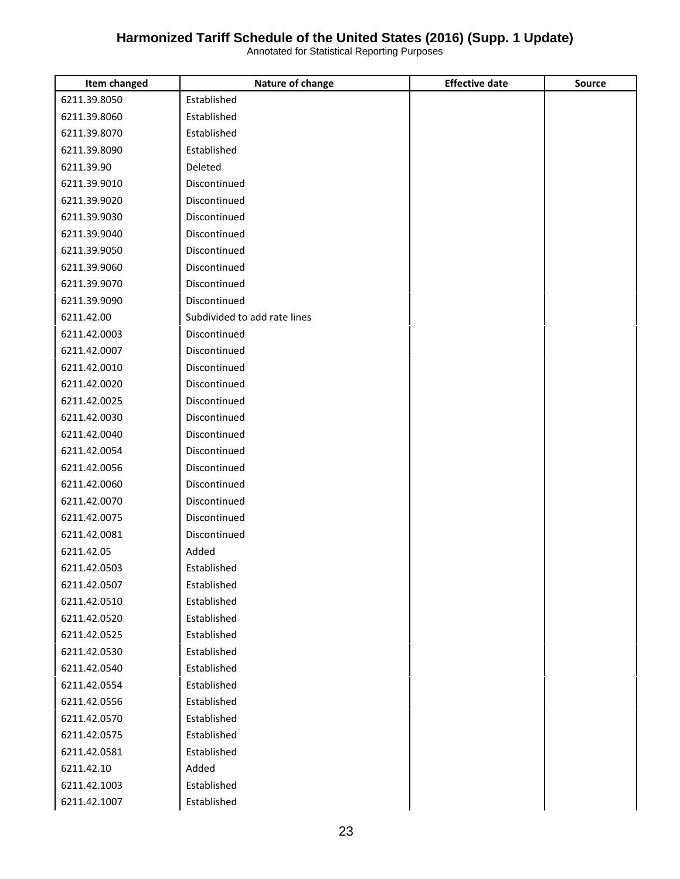| Item changed | Nature of change             | <b>Effective date</b> | <b>Source</b> |
|--------------|------------------------------|-----------------------|---------------|
| 6211.39.8050 | Established                  |                       |               |
| 6211.39.8060 | Established                  |                       |               |
| 6211.39.8070 | Established                  |                       |               |
| 6211.39.8090 | Established                  |                       |               |
| 6211.39.90   | Deleted                      |                       |               |
| 6211.39.9010 | Discontinued                 |                       |               |
| 6211.39.9020 | Discontinued                 |                       |               |
| 6211.39.9030 | Discontinued                 |                       |               |
| 6211.39.9040 | Discontinued                 |                       |               |
| 6211.39.9050 | Discontinued                 |                       |               |
| 6211.39.9060 | Discontinued                 |                       |               |
| 6211.39.9070 | Discontinued                 |                       |               |
| 6211.39.9090 | Discontinued                 |                       |               |
| 6211.42.00   | Subdivided to add rate lines |                       |               |
| 6211.42.0003 | Discontinued                 |                       |               |
| 6211.42.0007 | Discontinued                 |                       |               |
| 6211.42.0010 | Discontinued                 |                       |               |
| 6211.42.0020 | Discontinued                 |                       |               |
| 6211.42.0025 | Discontinued                 |                       |               |
| 6211.42.0030 | Discontinued                 |                       |               |
| 6211.42.0040 | Discontinued                 |                       |               |
| 6211.42.0054 | Discontinued                 |                       |               |
| 6211.42.0056 | Discontinued                 |                       |               |
| 6211.42.0060 | Discontinued                 |                       |               |
| 6211.42.0070 | Discontinued                 |                       |               |
| 6211.42.0075 | Discontinued                 |                       |               |
| 6211.42.0081 | Discontinued                 |                       |               |
| 6211.42.05   | Added                        |                       |               |
| 6211.42.0503 | Established                  |                       |               |
| 6211.42.0507 | Established                  |                       |               |
| 6211.42.0510 | Established                  |                       |               |
| 6211.42.0520 | Established                  |                       |               |
| 6211.42.0525 | Established                  |                       |               |
| 6211.42.0530 | Established                  |                       |               |
| 6211.42.0540 | Established                  |                       |               |
| 6211.42.0554 | Established                  |                       |               |
| 6211.42.0556 | Established                  |                       |               |
| 6211.42.0570 | Established                  |                       |               |
| 6211.42.0575 | Established                  |                       |               |
| 6211.42.0581 | Established                  |                       |               |
| 6211.42.10   | Added                        |                       |               |
| 6211.42.1003 | Established                  |                       |               |
| 6211.42.1007 | Established                  |                       |               |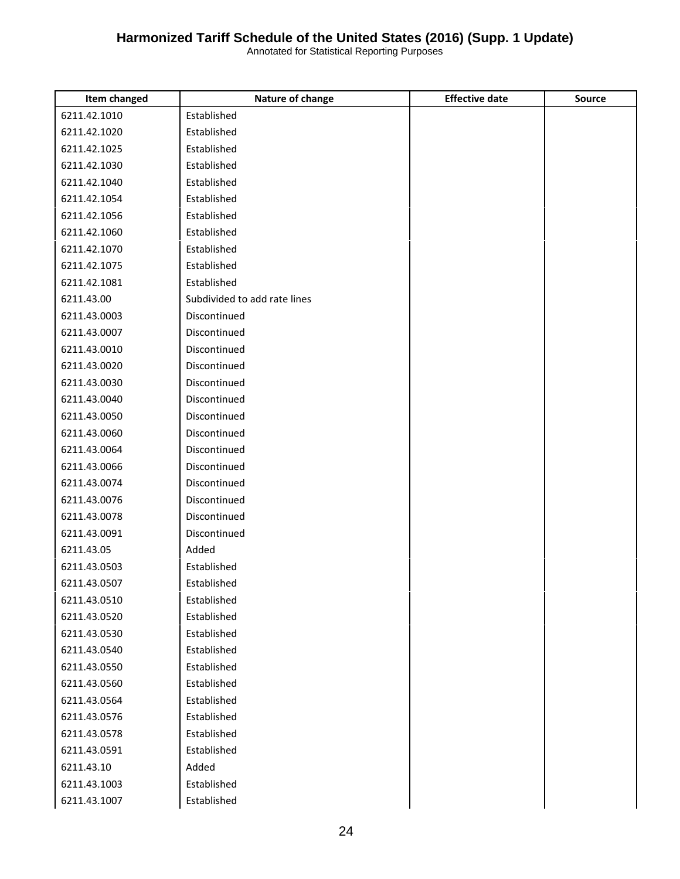| Item changed | Nature of change             | <b>Effective date</b> | <b>Source</b> |
|--------------|------------------------------|-----------------------|---------------|
| 6211.42.1010 | Established                  |                       |               |
| 6211.42.1020 | Established                  |                       |               |
| 6211.42.1025 | Established                  |                       |               |
| 6211.42.1030 | Established                  |                       |               |
| 6211.42.1040 | Established                  |                       |               |
| 6211.42.1054 | Established                  |                       |               |
| 6211.42.1056 | Established                  |                       |               |
| 6211.42.1060 | Established                  |                       |               |
| 6211.42.1070 | Established                  |                       |               |
| 6211.42.1075 | Established                  |                       |               |
| 6211.42.1081 | Established                  |                       |               |
| 6211.43.00   | Subdivided to add rate lines |                       |               |
| 6211.43.0003 | Discontinued                 |                       |               |
| 6211.43.0007 | Discontinued                 |                       |               |
| 6211.43.0010 | Discontinued                 |                       |               |
| 6211.43.0020 | Discontinued                 |                       |               |
| 6211.43.0030 | Discontinued                 |                       |               |
| 6211.43.0040 | Discontinued                 |                       |               |
| 6211.43.0050 | Discontinued                 |                       |               |
| 6211.43.0060 | Discontinued                 |                       |               |
| 6211.43.0064 | Discontinued                 |                       |               |
| 6211.43.0066 | Discontinued                 |                       |               |
| 6211.43.0074 | Discontinued                 |                       |               |
| 6211.43.0076 | Discontinued                 |                       |               |
| 6211.43.0078 | Discontinued                 |                       |               |
| 6211.43.0091 | Discontinued                 |                       |               |
| 6211.43.05   | Added                        |                       |               |
| 6211.43.0503 | Established                  |                       |               |
| 6211.43.0507 | Established                  |                       |               |
| 6211.43.0510 | Established                  |                       |               |
| 6211.43.0520 | Established                  |                       |               |
| 6211.43.0530 | Established                  |                       |               |
| 6211.43.0540 | Established                  |                       |               |
| 6211.43.0550 | Established                  |                       |               |
| 6211.43.0560 | Established                  |                       |               |
| 6211.43.0564 | Established                  |                       |               |
| 6211.43.0576 | Established                  |                       |               |
| 6211.43.0578 | Established                  |                       |               |
| 6211.43.0591 | Established                  |                       |               |
| 6211.43.10   | Added                        |                       |               |
| 6211.43.1003 | Established                  |                       |               |
| 6211.43.1007 | Established                  |                       |               |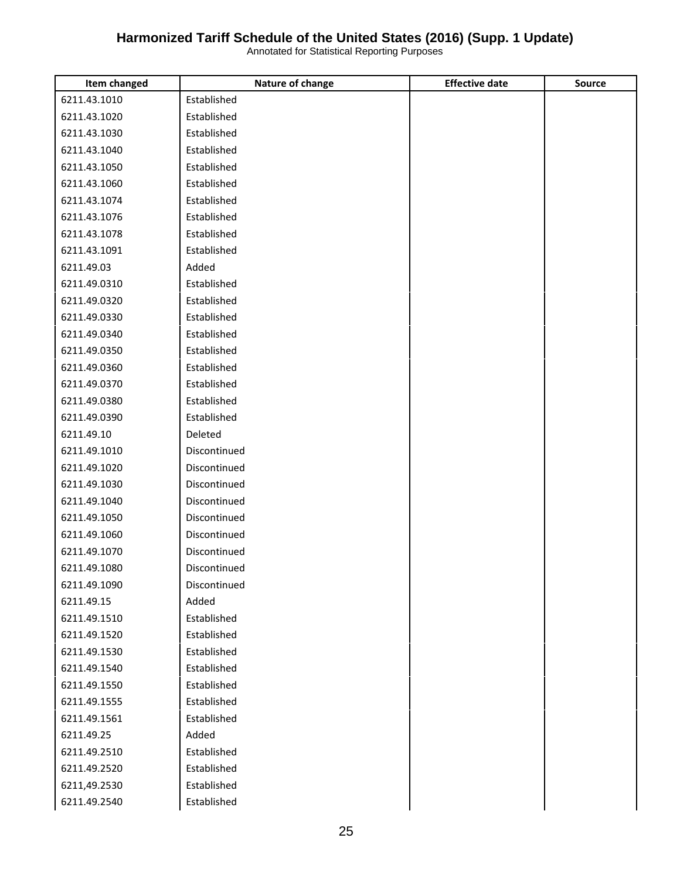| Item changed | Nature of change | <b>Effective date</b> | <b>Source</b> |
|--------------|------------------|-----------------------|---------------|
| 6211.43.1010 | Established      |                       |               |
| 6211.43.1020 | Established      |                       |               |
| 6211.43.1030 | Established      |                       |               |
| 6211.43.1040 | Established      |                       |               |
| 6211.43.1050 | Established      |                       |               |
| 6211.43.1060 | Established      |                       |               |
| 6211.43.1074 | Established      |                       |               |
| 6211.43.1076 | Established      |                       |               |
| 6211.43.1078 | Established      |                       |               |
| 6211.43.1091 | Established      |                       |               |
| 6211.49.03   | Added            |                       |               |
| 6211.49.0310 | Established      |                       |               |
| 6211.49.0320 | Established      |                       |               |
| 6211.49.0330 | Established      |                       |               |
| 6211.49.0340 | Established      |                       |               |
| 6211.49.0350 | Established      |                       |               |
| 6211.49.0360 | Established      |                       |               |
| 6211.49.0370 | Established      |                       |               |
| 6211.49.0380 | Established      |                       |               |
| 6211.49.0390 | Established      |                       |               |
| 6211.49.10   | Deleted          |                       |               |
| 6211.49.1010 | Discontinued     |                       |               |
| 6211.49.1020 | Discontinued     |                       |               |
| 6211.49.1030 | Discontinued     |                       |               |
| 6211.49.1040 | Discontinued     |                       |               |
| 6211.49.1050 | Discontinued     |                       |               |
| 6211.49.1060 | Discontinued     |                       |               |
| 6211.49.1070 | Discontinued     |                       |               |
| 6211.49.1080 | Discontinued     |                       |               |
| 6211.49.1090 | Discontinued     |                       |               |
| 6211.49.15   | Added            |                       |               |
| 6211.49.1510 | Established      |                       |               |
| 6211.49.1520 | Established      |                       |               |
| 6211.49.1530 | Established      |                       |               |
| 6211.49.1540 | Established      |                       |               |
| 6211.49.1550 | Established      |                       |               |
| 6211.49.1555 | Established      |                       |               |
| 6211.49.1561 | Established      |                       |               |
| 6211.49.25   | Added            |                       |               |
| 6211.49.2510 | Established      |                       |               |
| 6211.49.2520 | Established      |                       |               |
| 6211,49.2530 | Established      |                       |               |
| 6211.49.2540 | Established      |                       |               |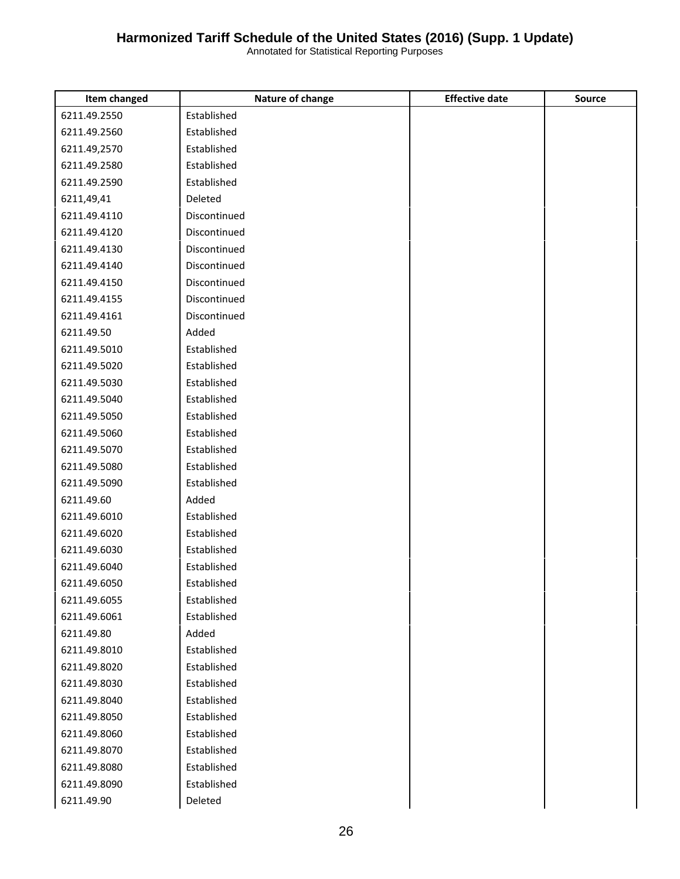| <b>Item changed</b> | Nature of change | <b>Effective date</b> | Source |
|---------------------|------------------|-----------------------|--------|
| 6211.49.2550        | Established      |                       |        |
| 6211.49.2560        | Established      |                       |        |
| 6211.49,2570        | Established      |                       |        |
| 6211.49.2580        | Established      |                       |        |
| 6211.49.2590        | Established      |                       |        |
| 6211,49,41          | Deleted          |                       |        |
| 6211.49.4110        | Discontinued     |                       |        |
| 6211.49.4120        | Discontinued     |                       |        |
| 6211.49.4130        | Discontinued     |                       |        |
| 6211.49.4140        | Discontinued     |                       |        |
| 6211.49.4150        | Discontinued     |                       |        |
| 6211.49.4155        | Discontinued     |                       |        |
| 6211.49.4161        | Discontinued     |                       |        |
| 6211.49.50          | Added            |                       |        |
| 6211.49.5010        | Established      |                       |        |
| 6211.49.5020        | Established      |                       |        |
| 6211.49.5030        | Established      |                       |        |
| 6211.49.5040        | Established      |                       |        |
| 6211.49.5050        | Established      |                       |        |
| 6211.49.5060        | Established      |                       |        |
| 6211.49.5070        | Established      |                       |        |
| 6211.49.5080        | Established      |                       |        |
| 6211.49.5090        | Established      |                       |        |
| 6211.49.60          | Added            |                       |        |
| 6211.49.6010        | Established      |                       |        |
| 6211.49.6020        | Established      |                       |        |
| 6211.49.6030        | Established      |                       |        |
| 6211.49.6040        | Established      |                       |        |
| 6211.49.6050        | Established      |                       |        |
| 6211.49.6055        | Established      |                       |        |
| 6211.49.6061        | Established      |                       |        |
| 6211.49.80          | Added            |                       |        |
| 6211.49.8010        | Established      |                       |        |
| 6211.49.8020        | Established      |                       |        |
| 6211.49.8030        | Established      |                       |        |
| 6211.49.8040        | Established      |                       |        |
| 6211.49.8050        | Established      |                       |        |
| 6211.49.8060        | Established      |                       |        |
| 6211.49.8070        | Established      |                       |        |
| 6211.49.8080        | Established      |                       |        |
| 6211.49.8090        | Established      |                       |        |
| 6211.49.90          | Deleted          |                       |        |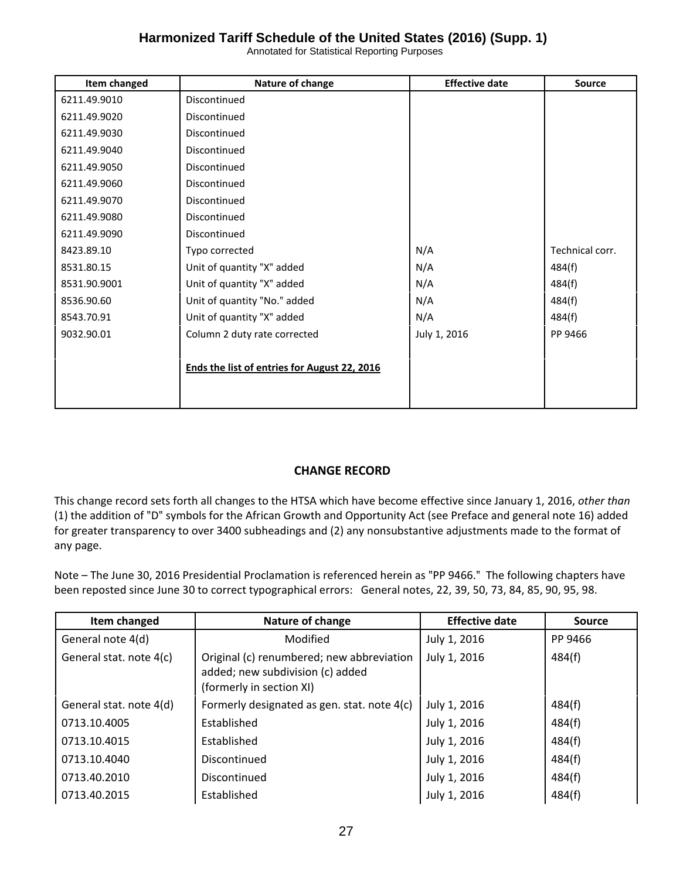Annotated for Statistical Reporting Purposes

| Item changed | Nature of change                             | <b>Effective date</b> | <b>Source</b>   |
|--------------|----------------------------------------------|-----------------------|-----------------|
| 6211.49.9010 | Discontinued                                 |                       |                 |
| 6211.49.9020 | Discontinued                                 |                       |                 |
| 6211.49.9030 | Discontinued                                 |                       |                 |
| 6211.49.9040 | Discontinued                                 |                       |                 |
| 6211.49.9050 | Discontinued                                 |                       |                 |
| 6211.49.9060 | Discontinued                                 |                       |                 |
| 6211.49.9070 | Discontinued                                 |                       |                 |
| 6211.49.9080 | Discontinued                                 |                       |                 |
| 6211.49.9090 | Discontinued                                 |                       |                 |
| 8423.89.10   | Typo corrected                               | N/A                   | Technical corr. |
| 8531.80.15   | Unit of quantity "X" added                   | N/A                   | 484(f)          |
| 8531.90.9001 | Unit of quantity "X" added                   | N/A                   | 484(f)          |
| 8536.90.60   | Unit of quantity "No." added                 | N/A                   | 484(f)          |
| 8543.70.91   | Unit of quantity "X" added                   | N/A                   | 484(f)          |
| 9032.90.01   | Column 2 duty rate corrected                 | July 1, 2016          | PP 9466         |
|              |                                              |                       |                 |
|              | Ends the list of entries for August 22, 2016 |                       |                 |
|              |                                              |                       |                 |
|              |                                              |                       |                 |

#### **CHANGE RECORD**

This change record sets forth all changes to the HTSA which have become effective since January 1, 2016, *other than* (1) the addition of "D" symbols for the African Growth and Opportunity Act (see Preface and general note 16) added for greater transparency to over 3400 subheadings and (2) any nonsubstantive adjustments made to the format of any page.

Note – The June 30, 2016 Presidential Proclamation is referenced herein as "PP 9466." The following chapters have been reposted since June 30 to correct typographical errors: General notes, 22, 39, 50, 73, 84, 85, 90, 95, 98.

| Item changed            | Nature of change                                                                                          | <b>Effective date</b> | <b>Source</b> |
|-------------------------|-----------------------------------------------------------------------------------------------------------|-----------------------|---------------|
| General note 4(d)       | Modified                                                                                                  | July 1, 2016          | PP 9466       |
| General stat. note 4(c) | Original (c) renumbered; new abbreviation<br>added; new subdivision (c) added<br>(formerly in section XI) | July 1, 2016          | 484(f)        |
| General stat. note 4(d) | Formerly designated as gen. stat. note 4(c)                                                               | July 1, 2016          | 484(f)        |
| 0713.10.4005            | Established                                                                                               | July 1, 2016          | 484(f)        |
| 0713.10.4015            | Established                                                                                               | July 1, 2016          | 484(f)        |
| 0713.10.4040            | Discontinued                                                                                              | July 1, 2016          | 484(f)        |
| 0713.40.2010            | Discontinued                                                                                              | July 1, 2016          | 484(f)        |
| 0713.40.2015            | Established                                                                                               | July 1, 2016          | 484(f)        |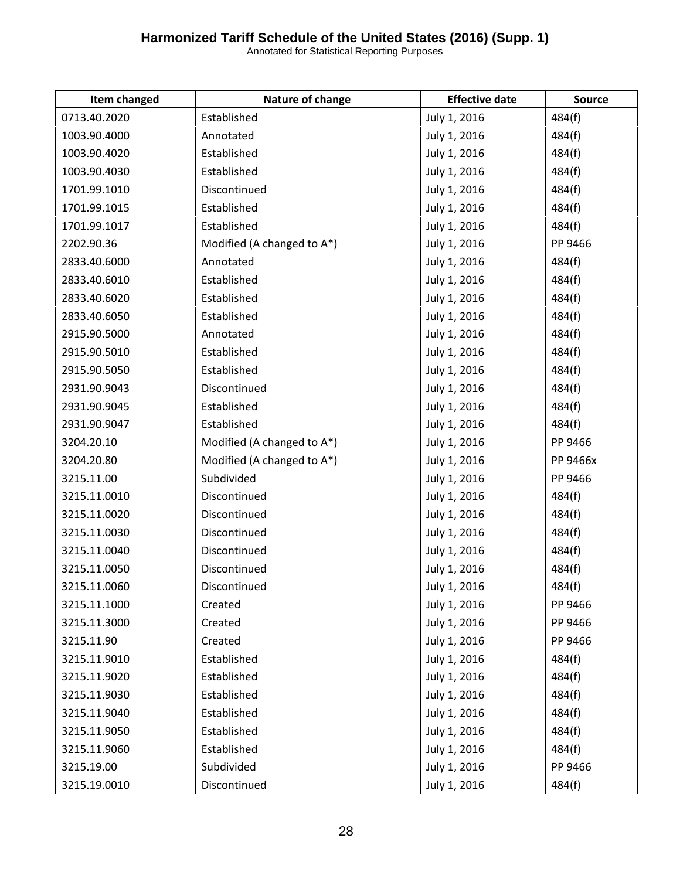| Item changed | Nature of change           | <b>Effective date</b> | <b>Source</b> |
|--------------|----------------------------|-----------------------|---------------|
| 0713.40.2020 | Established                | July 1, 2016          | 484(f)        |
| 1003.90.4000 | Annotated                  | July 1, 2016          | 484(f)        |
| 1003.90.4020 | Established                | July 1, 2016          | 484(f)        |
| 1003.90.4030 | Established                | July 1, 2016          | 484(f)        |
| 1701.99.1010 | Discontinued               | July 1, 2016          | 484(f)        |
| 1701.99.1015 | Established                | July 1, 2016          | 484(f)        |
| 1701.99.1017 | Established                | July 1, 2016          | 484(f)        |
| 2202.90.36   | Modified (A changed to A*) | July 1, 2016          | PP 9466       |
| 2833.40.6000 | Annotated                  | July 1, 2016          | 484(f)        |
| 2833.40.6010 | Established                | July 1, 2016          | 484(f)        |
| 2833.40.6020 | Established                | July 1, 2016          | 484(f)        |
| 2833.40.6050 | Established                | July 1, 2016          | 484(f)        |
| 2915.90.5000 | Annotated                  | July 1, 2016          | 484(f)        |
| 2915.90.5010 | Established                | July 1, 2016          | 484(f)        |
| 2915.90.5050 | Established                | July 1, 2016          | 484(f)        |
| 2931.90.9043 | Discontinued               | July 1, 2016          | 484(f)        |
| 2931.90.9045 | Established                | July 1, 2016          | 484(f)        |
| 2931.90.9047 | Established                | July 1, 2016          | 484(f)        |
| 3204.20.10   | Modified (A changed to A*) | July 1, 2016          | PP 9466       |
| 3204.20.80   | Modified (A changed to A*) | July 1, 2016          | PP 9466x      |
| 3215.11.00   | Subdivided                 | July 1, 2016          | PP 9466       |
| 3215.11.0010 | Discontinued               | July 1, 2016          | 484(f)        |
| 3215.11.0020 | Discontinued               | July 1, 2016          | 484(f)        |
| 3215.11.0030 | Discontinued               | July 1, 2016          | 484(f)        |
| 3215.11.0040 | Discontinued               | July 1, 2016          | 484(f)        |
| 3215.11.0050 | Discontinued               | July 1, 2016          | 484(f)        |
| 3215.11.0060 | Discontinued               | July 1, 2016          | 484(f)        |
| 3215.11.1000 | Created                    | July 1, 2016          | PP 9466       |
| 3215.11.3000 | Created                    | July 1, 2016          | PP 9466       |
| 3215.11.90   | Created                    | July 1, 2016          | PP 9466       |
| 3215.11.9010 | Established                | July 1, 2016          | 484(f)        |
| 3215.11.9020 | Established                | July 1, 2016          | 484(f)        |
| 3215.11.9030 | Established                | July 1, 2016          | 484(f)        |
| 3215.11.9040 | Established                | July 1, 2016          | 484(f)        |
| 3215.11.9050 | Established                | July 1, 2016          | 484(f)        |
| 3215.11.9060 | Established                | July 1, 2016          | 484(f)        |
| 3215.19.00   | Subdivided                 | July 1, 2016          | PP 9466       |
| 3215.19.0010 | Discontinued               | July 1, 2016          | 484(f)        |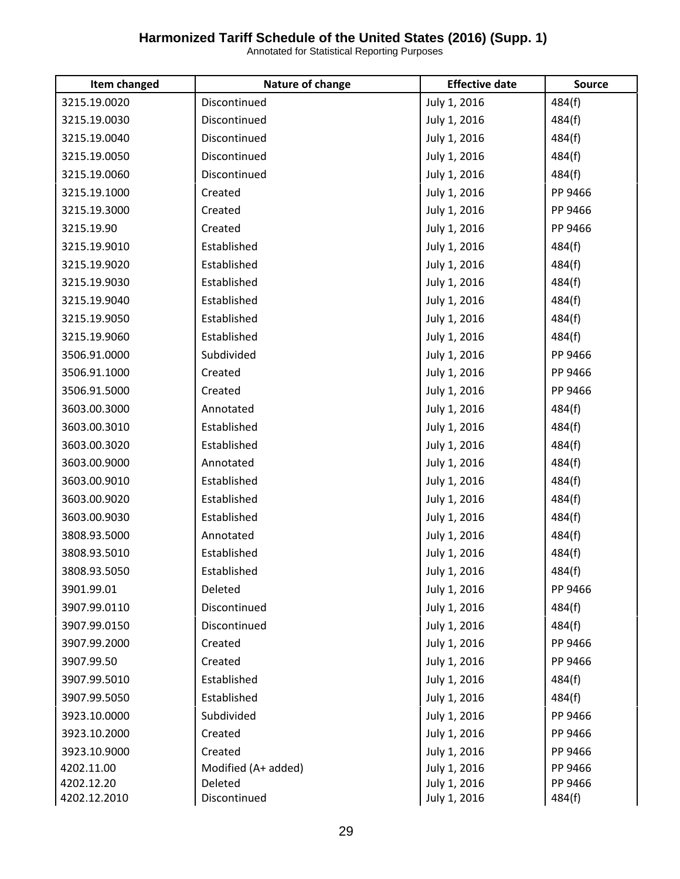| Item changed | Nature of change    | <b>Effective date</b> | Source  |
|--------------|---------------------|-----------------------|---------|
| 3215.19.0020 | Discontinued        | July 1, 2016          | 484(f)  |
| 3215.19.0030 | Discontinued        | July 1, 2016          | 484(f)  |
| 3215.19.0040 | Discontinued        | July 1, 2016          | 484(f)  |
| 3215.19.0050 | Discontinued        | July 1, 2016          | 484(f)  |
| 3215.19.0060 | Discontinued        | July 1, 2016          | 484(f)  |
| 3215.19.1000 | Created             | July 1, 2016          | PP 9466 |
| 3215.19.3000 | Created             | July 1, 2016          | PP 9466 |
| 3215.19.90   | Created             | July 1, 2016          | PP 9466 |
| 3215.19.9010 | Established         | July 1, 2016          | 484(f)  |
| 3215.19.9020 | Established         | July 1, 2016          | 484(f)  |
| 3215.19.9030 | Established         | July 1, 2016          | 484(f)  |
| 3215.19.9040 | Established         | July 1, 2016          | 484(f)  |
| 3215.19.9050 | Established         | July 1, 2016          | 484(f)  |
| 3215.19.9060 | Established         | July 1, 2016          | 484(f)  |
| 3506.91.0000 | Subdivided          | July 1, 2016          | PP 9466 |
| 3506.91.1000 | Created             | July 1, 2016          | PP 9466 |
| 3506.91.5000 | Created             | July 1, 2016          | PP 9466 |
| 3603.00.3000 | Annotated           | July 1, 2016          | 484(f)  |
| 3603.00.3010 | Established         | July 1, 2016          | 484(f)  |
| 3603.00.3020 | Established         | July 1, 2016          | 484(f)  |
| 3603.00.9000 | Annotated           | July 1, 2016          | 484(f)  |
| 3603.00.9010 | Established         | July 1, 2016          | 484(f)  |
| 3603.00.9020 | Established         | July 1, 2016          | 484(f)  |
| 3603.00.9030 | Established         | July 1, 2016          | 484(f)  |
| 3808.93.5000 | Annotated           | July 1, 2016          | 484(f)  |
| 3808.93.5010 | Established         | July 1, 2016          | 484(f)  |
| 3808.93.5050 | Established         | July 1, 2016          | 484(f)  |
| 3901.99.01   | Deleted             | July 1, 2016          | PP 9466 |
| 3907.99.0110 | Discontinued        | July 1, 2016          | 484(f)  |
| 3907.99.0150 | Discontinued        | July 1, 2016          | 484(f)  |
| 3907.99.2000 | Created             | July 1, 2016          | PP 9466 |
| 3907.99.50   | Created             | July 1, 2016          | PP 9466 |
| 3907.99.5010 | Established         | July 1, 2016          | 484(f)  |
| 3907.99.5050 | Established         | July 1, 2016          | 484(f)  |
| 3923.10.0000 | Subdivided          | July 1, 2016          | PP 9466 |
| 3923.10.2000 | Created             | July 1, 2016          | PP 9466 |
| 3923.10.9000 | Created             | July 1, 2016          | PP 9466 |
| 4202.11.00   | Modified (A+ added) | July 1, 2016          | PP 9466 |
| 4202.12.20   | Deleted             | July 1, 2016          | PP 9466 |
| 4202.12.2010 | Discontinued        | July 1, 2016          | 484(f)  |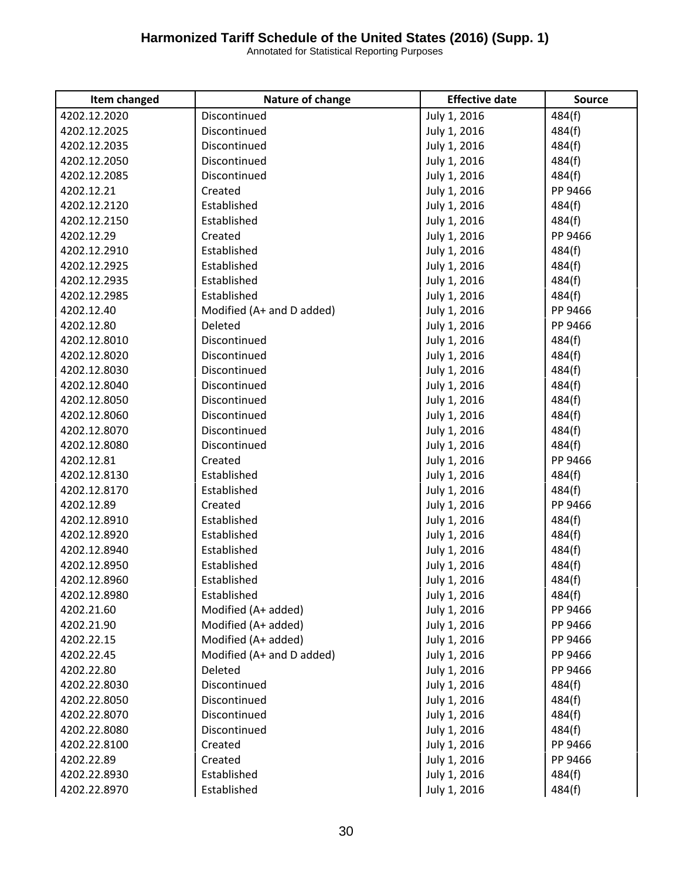| Item changed | Nature of change          | <b>Effective date</b> | <b>Source</b> |
|--------------|---------------------------|-----------------------|---------------|
| 4202.12.2020 | Discontinued              | July 1, 2016          | 484(f)        |
| 4202.12.2025 | Discontinued              | July 1, 2016          | 484(f)        |
| 4202.12.2035 | Discontinued              | July 1, 2016          | 484(f)        |
| 4202.12.2050 | Discontinued              | July 1, 2016          | 484(f)        |
| 4202.12.2085 | Discontinued              | July 1, 2016          | 484(f)        |
| 4202.12.21   | Created                   | July 1, 2016          | PP 9466       |
| 4202.12.2120 | Established               | July 1, 2016          | 484(f)        |
| 4202.12.2150 | Established               | July 1, 2016          | 484(f)        |
| 4202.12.29   | Created                   | July 1, 2016          | PP 9466       |
| 4202.12.2910 | Established               | July 1, 2016          | 484(f)        |
| 4202.12.2925 | Established               | July 1, 2016          | 484(f)        |
| 4202.12.2935 | Established               | July 1, 2016          | 484(f)        |
| 4202.12.2985 | Established               | July 1, 2016          | 484(f)        |
| 4202.12.40   | Modified (A+ and D added) | July 1, 2016          | PP 9466       |
| 4202.12.80   | Deleted                   | July 1, 2016          | PP 9466       |
| 4202.12.8010 | Discontinued              | July 1, 2016          | 484(f)        |
| 4202.12.8020 | Discontinued              | July 1, 2016          | 484(f)        |
| 4202.12.8030 | Discontinued              | July 1, 2016          | 484(f)        |
| 4202.12.8040 | Discontinued              | July 1, 2016          | 484(f)        |
| 4202.12.8050 | Discontinued              | July 1, 2016          | 484(f)        |
| 4202.12.8060 | Discontinued              | July 1, 2016          | 484(f)        |
| 4202.12.8070 | Discontinued              | July 1, 2016          | 484(f)        |
| 4202.12.8080 | Discontinued              | July 1, 2016          | 484(f)        |
| 4202.12.81   | Created                   | July 1, 2016          | PP 9466       |
| 4202.12.8130 | Established               | July 1, 2016          | 484(f)        |
| 4202.12.8170 | Established               | July 1, 2016          | 484(f)        |
| 4202.12.89   | Created                   | July 1, 2016          | PP 9466       |
| 4202.12.8910 | Established               | July 1, 2016          | 484(f)        |
| 4202.12.8920 | Established               | July 1, 2016          | 484(f)        |
| 4202.12.8940 | Established               | July 1, 2016          | 484(f)        |
| 4202.12.8950 | Established               | July 1, 2016          | 484(f)        |
| 4202.12.8960 | Established               | July 1, 2016          | 484(f)        |
| 4202.12.8980 | Established               | July 1, 2016          | 484(f)        |
| 4202.21.60   | Modified (A+ added)       | July 1, 2016          | PP 9466       |
| 4202.21.90   | Modified (A+ added)       | July 1, 2016          | PP 9466       |
| 4202.22.15   | Modified (A+ added)       | July 1, 2016          | PP 9466       |
| 4202.22.45   | Modified (A+ and D added) | July 1, 2016          | PP 9466       |
| 4202.22.80   | Deleted                   | July 1, 2016          | PP 9466       |
| 4202.22.8030 | Discontinued              | July 1, 2016          | 484(f)        |
| 4202.22.8050 | Discontinued              | July 1, 2016          | 484(f)        |
| 4202.22.8070 | Discontinued              | July 1, 2016          | 484(f)        |
| 4202.22.8080 | Discontinued              | July 1, 2016          | 484(f)        |
| 4202.22.8100 | Created                   | July 1, 2016          | PP 9466       |
| 4202.22.89   | Created                   | July 1, 2016          | PP 9466       |
| 4202.22.8930 | Established               | July 1, 2016          | 484(f)        |
| 4202.22.8970 | Established               | July 1, 2016          | 484(f)        |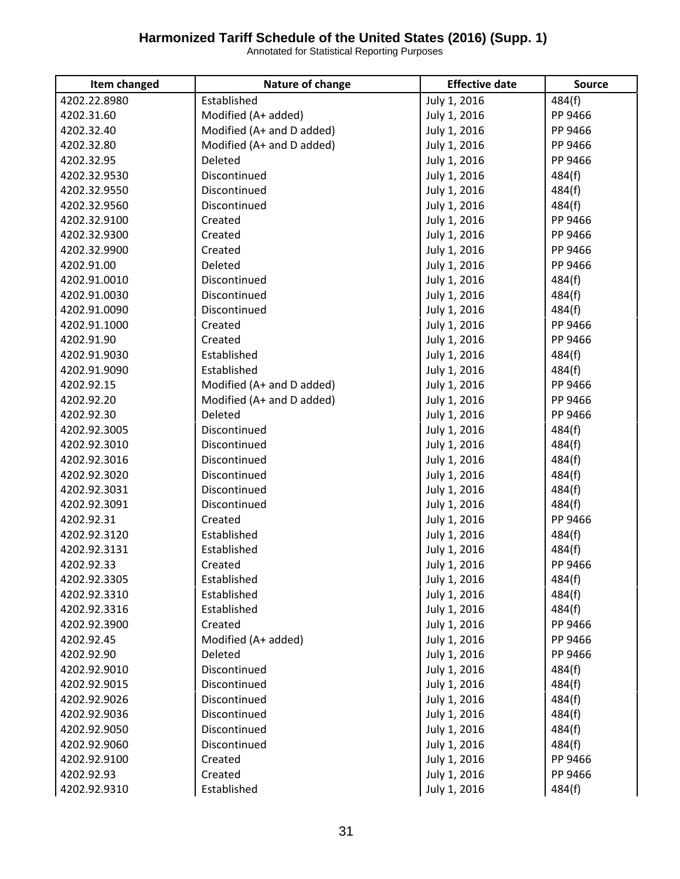| Item changed | Nature of change          | <b>Effective date</b> | <b>Source</b> |
|--------------|---------------------------|-----------------------|---------------|
| 4202.22.8980 | Established               | July 1, 2016          | 484(f)        |
| 4202.31.60   | Modified (A+ added)       | July 1, 2016          | PP 9466       |
| 4202.32.40   | Modified (A+ and D added) | July 1, 2016          | PP 9466       |
| 4202.32.80   | Modified (A+ and D added) | July 1, 2016          | PP 9466       |
| 4202.32.95   | Deleted                   | July 1, 2016          | PP 9466       |
| 4202.32.9530 | Discontinued              | July 1, 2016          | 484(f)        |
| 4202.32.9550 | Discontinued              | July 1, 2016          | 484(f)        |
| 4202.32.9560 | Discontinued              | July 1, 2016          | 484(f)        |
| 4202.32.9100 | Created                   | July 1, 2016          | PP 9466       |
| 4202.32.9300 | Created                   | July 1, 2016          | PP 9466       |
| 4202.32.9900 | Created                   | July 1, 2016          | PP 9466       |
| 4202.91.00   | Deleted                   | July 1, 2016          | PP 9466       |
| 4202.91.0010 | Discontinued              | July 1, 2016          | 484(f)        |
| 4202.91.0030 | Discontinued              | July 1, 2016          | 484(f)        |
| 4202.91.0090 | Discontinued              | July 1, 2016          | 484(f)        |
| 4202.91.1000 | Created                   | July 1, 2016          | PP 9466       |
| 4202.91.90   | Created                   | July 1, 2016          | PP 9466       |
| 4202.91.9030 | Established               | July 1, 2016          | 484(f)        |
| 4202.91.9090 | Established               | July 1, 2016          | 484(f)        |
| 4202.92.15   | Modified (A+ and D added) | July 1, 2016          | PP 9466       |
| 4202.92.20   | Modified (A+ and D added) | July 1, 2016          | PP 9466       |
| 4202.92.30   | Deleted                   | July 1, 2016          | PP 9466       |
| 4202.92.3005 | Discontinued              | July 1, 2016          | 484(f)        |
| 4202.92.3010 | Discontinued              | July 1, 2016          | 484(f)        |
| 4202.92.3016 | Discontinued              | July 1, 2016          | 484(f)        |
| 4202.92.3020 | Discontinued              | July 1, 2016          | 484(f)        |
| 4202.92.3031 | Discontinued              | July 1, 2016          | 484(f)        |
| 4202.92.3091 | Discontinued              | July 1, 2016          | 484(f)        |
| 4202.92.31   | Created                   | July 1, 2016          | PP 9466       |
| 4202.92.3120 | Established               | July 1, 2016          | 484(f)        |
| 4202.92.3131 | Established               | July 1, 2016          | 484(f)        |
| 4202.92.33   | Created                   | July 1, 2016          | PP 9466       |
| 4202.92.3305 | Established               | July 1, 2016          | 484(f)        |
| 4202.92.3310 | Established               | July 1, 2016          | 484(f)        |
| 4202.92.3316 | Established               | July 1, 2016          | 484(f)        |
| 4202.92.3900 | Created                   | July 1, 2016          | PP 9466       |
| 4202.92.45   | Modified (A+ added)       | July 1, 2016          | PP 9466       |
| 4202.92.90   | Deleted                   | July 1, 2016          | PP 9466       |
| 4202.92.9010 | Discontinued              | July 1, 2016          | 484(f)        |
| 4202.92.9015 | Discontinued              | July 1, 2016          | 484(f)        |
| 4202.92.9026 | Discontinued              | July 1, 2016          | 484(f)        |
| 4202.92.9036 | Discontinued              | July 1, 2016          | 484(f)        |
| 4202.92.9050 | Discontinued              | July 1, 2016          | 484(f)        |
| 4202.92.9060 | Discontinued              | July 1, 2016          | 484(f)        |
| 4202.92.9100 | Created                   | July 1, 2016          | PP 9466       |
| 4202.92.93   | Created                   | July 1, 2016          | PP 9466       |
| 4202.92.9310 | Established               | July 1, 2016          | 484(f)        |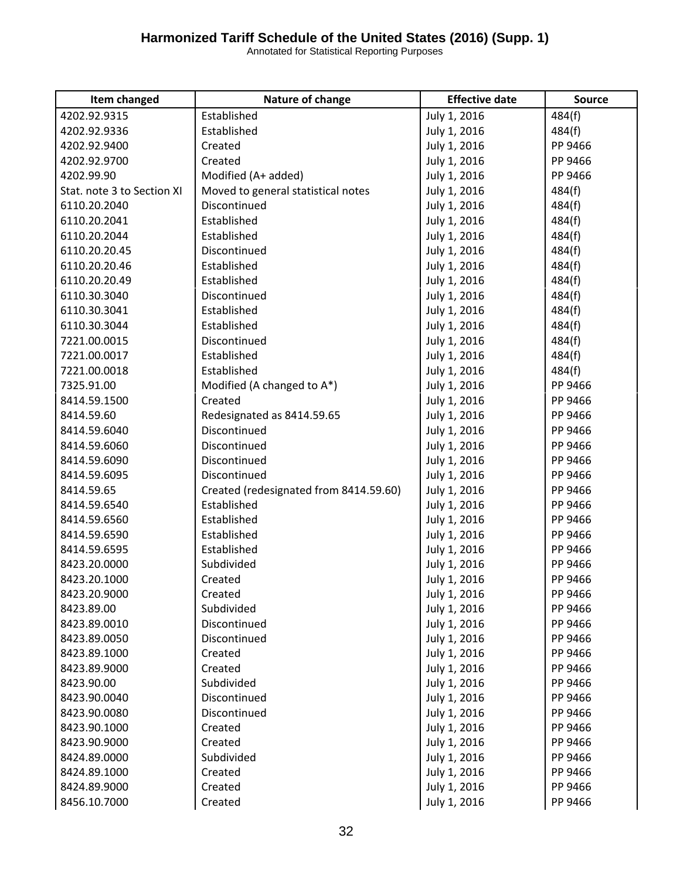| Item changed               | Nature of change                       | <b>Effective date</b> | <b>Source</b> |
|----------------------------|----------------------------------------|-----------------------|---------------|
| 4202.92.9315               | Established                            | July 1, 2016          | 484(f)        |
| 4202.92.9336               | Established                            | July 1, 2016          | 484(f)        |
| 4202.92.9400               | Created                                | July 1, 2016          | PP 9466       |
| 4202.92.9700               | Created                                | July 1, 2016          | PP 9466       |
| 4202.99.90                 | Modified (A+ added)                    | July 1, 2016          | PP 9466       |
| Stat. note 3 to Section XI | Moved to general statistical notes     | July 1, 2016          | 484(f)        |
| 6110.20.2040               | Discontinued                           | July 1, 2016          | 484(f)        |
| 6110.20.2041               | Established                            | July 1, 2016          | 484(f)        |
| 6110.20.2044               | Established                            | July 1, 2016          | 484(f)        |
| 6110.20.20.45              | Discontinued                           | July 1, 2016          | 484(f)        |
| 6110.20.20.46              | Established                            | July 1, 2016          | 484(f)        |
| 6110.20.20.49              | Established                            | July 1, 2016          | 484(f)        |
| 6110.30.3040               | Discontinued                           | July 1, 2016          | 484(f)        |
| 6110.30.3041               | Established                            | July 1, 2016          | 484(f)        |
| 6110.30.3044               | Established                            | July 1, 2016          | 484(f)        |
| 7221.00.0015               | Discontinued                           | July 1, 2016          | 484(f)        |
| 7221.00.0017               | Established                            | July 1, 2016          | 484(f)        |
| 7221.00.0018               | Established                            | July 1, 2016          | 484(f)        |
| 7325.91.00                 | Modified (A changed to A*)             | July 1, 2016          | PP 9466       |
| 8414.59.1500               | Created                                | July 1, 2016          | PP 9466       |
| 8414.59.60                 | Redesignated as 8414.59.65             | July 1, 2016          | PP 9466       |
| 8414.59.6040               | Discontinued                           | July 1, 2016          | PP 9466       |
| 8414.59.6060               | Discontinued                           | July 1, 2016          | PP 9466       |
| 8414.59.6090               | Discontinued                           | July 1, 2016          | PP 9466       |
| 8414.59.6095               | Discontinued                           | July 1, 2016          | PP 9466       |
| 8414.59.65                 | Created (redesignated from 8414.59.60) | July 1, 2016          | PP 9466       |
| 8414.59.6540               | Established                            | July 1, 2016          | PP 9466       |
| 8414.59.6560               | Established                            | July 1, 2016          | PP 9466       |
| 8414.59.6590               | Established                            | July 1, 2016          | PP 9466       |
| 8414.59.6595               | Established                            | July 1, 2016          | PP 9466       |
| 8423.20.0000               | Subdivided                             | July 1, 2016          | PP 9466       |
| 8423.20.1000               | Created                                | July 1, 2016          | PP 9466       |
| 8423.20.9000               | Created                                | July 1, 2016          | PP 9466       |
| 8423.89.00                 | Subdivided                             | July 1, 2016          | PP 9466       |
| 8423.89.0010               | Discontinued                           | July 1, 2016          | PP 9466       |
| 8423.89.0050               | Discontinued                           | July 1, 2016          | PP 9466       |
| 8423.89.1000               | Created                                | July 1, 2016          | PP 9466       |
| 8423.89.9000               | Created                                | July 1, 2016          | PP 9466       |
| 8423.90.00                 | Subdivided                             | July 1, 2016          | PP 9466       |
| 8423.90.0040               | Discontinued                           | July 1, 2016          | PP 9466       |
| 8423.90.0080               | Discontinued                           | July 1, 2016          | PP 9466       |
| 8423.90.1000               | Created                                | July 1, 2016          | PP 9466       |
| 8423.90.9000               | Created                                | July 1, 2016          | PP 9466       |
| 8424.89.0000               | Subdivided                             | July 1, 2016          | PP 9466       |
| 8424.89.1000               | Created                                | July 1, 2016          | PP 9466       |
| 8424.89.9000               | Created                                | July 1, 2016          | PP 9466       |
| 8456.10.7000               | Created                                | July 1, 2016          | PP 9466       |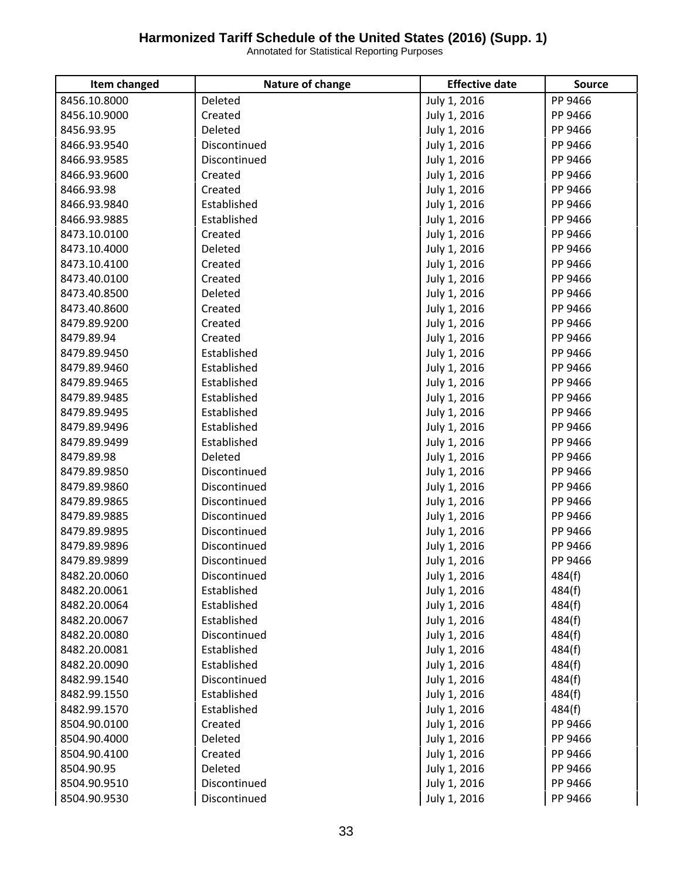| Item changed | Nature of change | <b>Effective date</b> | <b>Source</b> |
|--------------|------------------|-----------------------|---------------|
| 8456.10.8000 | Deleted          | July 1, 2016          | PP 9466       |
| 8456.10.9000 | Created          | July 1, 2016          | PP 9466       |
| 8456.93.95   | Deleted          | July 1, 2016          | PP 9466       |
| 8466.93.9540 | Discontinued     | July 1, 2016          | PP 9466       |
| 8466.93.9585 | Discontinued     | July 1, 2016          | PP 9466       |
| 8466.93.9600 | Created          | July 1, 2016          | PP 9466       |
| 8466.93.98   | Created          | July 1, 2016          | PP 9466       |
| 8466.93.9840 | Established      | July 1, 2016          | PP 9466       |
| 8466.93.9885 | Established      | July 1, 2016          | PP 9466       |
| 8473.10.0100 | Created          | July 1, 2016          | PP 9466       |
| 8473.10.4000 | Deleted          | July 1, 2016          | PP 9466       |
| 8473.10.4100 | Created          | July 1, 2016          | PP 9466       |
| 8473.40.0100 | Created          | July 1, 2016          | PP 9466       |
| 8473.40.8500 | Deleted          | July 1, 2016          | PP 9466       |
| 8473.40.8600 | Created          | July 1, 2016          | PP 9466       |
| 8479.89.9200 | Created          | July 1, 2016          | PP 9466       |
| 8479.89.94   | Created          | July 1, 2016          | PP 9466       |
| 8479.89.9450 | Established      | July 1, 2016          | PP 9466       |
| 8479.89.9460 | Established      | July 1, 2016          | PP 9466       |
| 8479.89.9465 | Established      | July 1, 2016          | PP 9466       |
| 8479.89.9485 | Established      | July 1, 2016          | PP 9466       |
| 8479.89.9495 | Established      | July 1, 2016          | PP 9466       |
| 8479.89.9496 | Established      | July 1, 2016          | PP 9466       |
| 8479.89.9499 | Established      | July 1, 2016          | PP 9466       |
| 8479.89.98   | Deleted          | July 1, 2016          | PP 9466       |
| 8479.89.9850 | Discontinued     | July 1, 2016          | PP 9466       |
| 8479.89.9860 | Discontinued     | July 1, 2016          | PP 9466       |
| 8479.89.9865 | Discontinued     | July 1, 2016          | PP 9466       |
| 8479.89.9885 | Discontinued     | July 1, 2016          | PP 9466       |
| 8479.89.9895 | Discontinued     | July 1, 2016          | PP 9466       |
| 8479.89.9896 | Discontinued     | July 1, 2016          | PP 9466       |
| 8479.89.9899 | Discontinued     | July 1, 2016          | PP 9466       |
| 8482.20.0060 | Discontinued     | July 1, 2016          | 484(f)        |
| 8482.20.0061 | Established      | July 1, 2016          | 484(f)        |
| 8482.20.0064 | Established      | July 1, 2016          | 484(f)        |
| 8482.20.0067 | Established      | July 1, 2016          | 484(f)        |
| 8482.20.0080 | Discontinued     | July 1, 2016          | 484(f)        |
| 8482.20.0081 | Established      | July 1, 2016          | 484(f)        |
| 8482.20.0090 | Established      | July 1, 2016          | 484(f)        |
| 8482.99.1540 | Discontinued     | July 1, 2016          | 484(f)        |
| 8482.99.1550 | Established      | July 1, 2016          | 484(f)        |
| 8482.99.1570 | Established      | July 1, 2016          | 484(f)        |
| 8504.90.0100 | Created          | July 1, 2016          | PP 9466       |
| 8504.90.4000 | Deleted          | July 1, 2016          | PP 9466       |
| 8504.90.4100 | Created          | July 1, 2016          | PP 9466       |
| 8504.90.95   | Deleted          | July 1, 2016          | PP 9466       |
| 8504.90.9510 | Discontinued     | July 1, 2016          | PP 9466       |
| 8504.90.9530 | Discontinued     | July 1, 2016          | PP 9466       |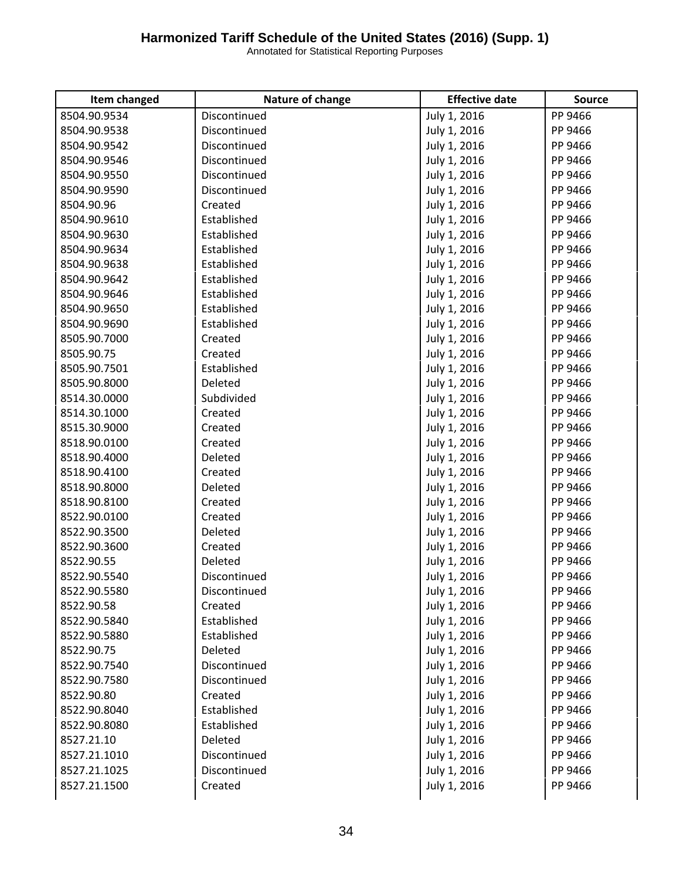| Item changed | Nature of change | <b>Effective date</b> | <b>Source</b> |
|--------------|------------------|-----------------------|---------------|
| 8504.90.9534 | Discontinued     | July 1, 2016          | PP 9466       |
| 8504.90.9538 | Discontinued     | July 1, 2016          | PP 9466       |
| 8504.90.9542 | Discontinued     | July 1, 2016          | PP 9466       |
| 8504.90.9546 | Discontinued     | July 1, 2016          | PP 9466       |
| 8504.90.9550 | Discontinued     | July 1, 2016          | PP 9466       |
| 8504.90.9590 | Discontinued     | July 1, 2016          | PP 9466       |
| 8504.90.96   | Created          | July 1, 2016          | PP 9466       |
| 8504.90.9610 | Established      | July 1, 2016          | PP 9466       |
| 8504.90.9630 | Established      | July 1, 2016          | PP 9466       |
| 8504.90.9634 | Established      | July 1, 2016          | PP 9466       |
| 8504.90.9638 | Established      | July 1, 2016          | PP 9466       |
| 8504.90.9642 | Established      | July 1, 2016          | PP 9466       |
| 8504.90.9646 | Established      | July 1, 2016          | PP 9466       |
| 8504.90.9650 | Established      | July 1, 2016          | PP 9466       |
| 8504.90.9690 | Established      | July 1, 2016          | PP 9466       |
| 8505.90.7000 | Created          | July 1, 2016          | PP 9466       |
| 8505.90.75   | Created          | July 1, 2016          | PP 9466       |
| 8505.90.7501 | Established      | July 1, 2016          | PP 9466       |
| 8505.90.8000 | Deleted          | July 1, 2016          | PP 9466       |
| 8514.30.0000 | Subdivided       | July 1, 2016          | PP 9466       |
| 8514.30.1000 | Created          | July 1, 2016          | PP 9466       |
| 8515.30.9000 | Created          | July 1, 2016          | PP 9466       |
| 8518.90.0100 | Created          | July 1, 2016          | PP 9466       |
| 8518.90.4000 | Deleted          | July 1, 2016          | PP 9466       |
| 8518.90.4100 | Created          | July 1, 2016          | PP 9466       |
| 8518.90.8000 | Deleted          | July 1, 2016          | PP 9466       |
| 8518.90.8100 | Created          | July 1, 2016          | PP 9466       |
| 8522.90.0100 | Created          | July 1, 2016          | PP 9466       |
| 8522.90.3500 | Deleted          | July 1, 2016          | PP 9466       |
| 8522.90.3600 | Created          | July 1, 2016          | PP 9466       |
| 8522.90.55   | Deleted          | July 1, 2016          | PP 9466       |
| 8522.90.5540 | Discontinued     | July 1, 2016          | PP 9466       |
| 8522.90.5580 | Discontinued     | July 1, 2016          | PP 9466       |
| 8522.90.58   | Created          | July 1, 2016          | PP 9466       |
| 8522.90.5840 | Established      | July 1, 2016          | PP 9466       |
| 8522.90.5880 | Established      | July 1, 2016          | PP 9466       |
| 8522.90.75   | Deleted          | July 1, 2016          | PP 9466       |
| 8522.90.7540 | Discontinued     | July 1, 2016          | PP 9466       |
| 8522.90.7580 | Discontinued     | July 1, 2016          | PP 9466       |
| 8522.90.80   | Created          | July 1, 2016          | PP 9466       |
| 8522.90.8040 | Established      | July 1, 2016          | PP 9466       |
| 8522.90.8080 | Established      | July 1, 2016          | PP 9466       |
| 8527.21.10   | Deleted          | July 1, 2016          | PP 9466       |
| 8527.21.1010 | Discontinued     | July 1, 2016          | PP 9466       |
| 8527.21.1025 | Discontinued     | July 1, 2016          | PP 9466       |
| 8527.21.1500 | Created          | July 1, 2016          | PP 9466       |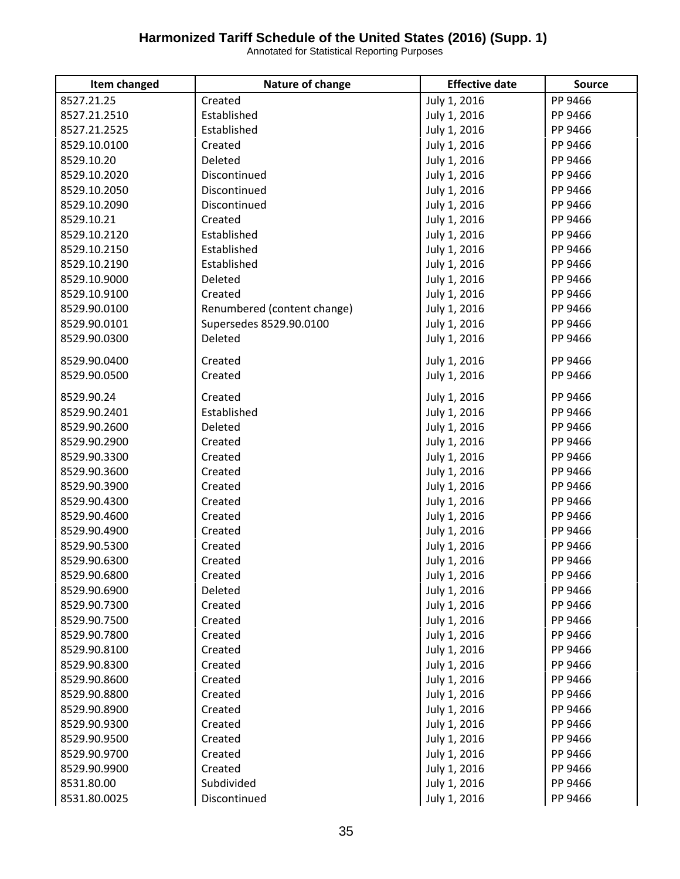| Item changed | Nature of change            | <b>Effective date</b> | <b>Source</b> |
|--------------|-----------------------------|-----------------------|---------------|
| 8527.21.25   | Created                     | July 1, 2016          | PP 9466       |
| 8527.21.2510 | Established                 | July 1, 2016          | PP 9466       |
| 8527.21.2525 | Established                 | July 1, 2016          | PP 9466       |
| 8529.10.0100 | Created                     | July 1, 2016          | PP 9466       |
| 8529.10.20   | Deleted                     | July 1, 2016          | PP 9466       |
| 8529.10.2020 | Discontinued                | July 1, 2016          | PP 9466       |
| 8529.10.2050 | Discontinued                | July 1, 2016          | PP 9466       |
| 8529.10.2090 | Discontinued                | July 1, 2016          | PP 9466       |
| 8529.10.21   | Created                     | July 1, 2016          | PP 9466       |
| 8529.10.2120 | Established                 | July 1, 2016          | PP 9466       |
| 8529.10.2150 | Established                 | July 1, 2016          | PP 9466       |
| 8529.10.2190 | Established                 | July 1, 2016          | PP 9466       |
| 8529.10.9000 | Deleted                     | July 1, 2016          | PP 9466       |
| 8529.10.9100 | Created                     | July 1, 2016          | PP 9466       |
| 8529.90.0100 | Renumbered (content change) | July 1, 2016          | PP 9466       |
| 8529.90.0101 | Supersedes 8529.90.0100     | July 1, 2016          | PP 9466       |
| 8529.90.0300 | Deleted                     | July 1, 2016          | PP 9466       |
|              | Created                     |                       |               |
| 8529.90.0400 |                             | July 1, 2016          | PP 9466       |
| 8529.90.0500 | Created                     | July 1, 2016          | PP 9466       |
| 8529.90.24   | Created                     | July 1, 2016          | PP 9466       |
| 8529.90.2401 | Established                 | July 1, 2016          | PP 9466       |
| 8529.90.2600 | Deleted                     | July 1, 2016          | PP 9466       |
| 8529.90.2900 | Created                     | July 1, 2016          | PP 9466       |
| 8529.90.3300 | Created                     | July 1, 2016          | PP 9466       |
| 8529.90.3600 | Created                     | July 1, 2016          | PP 9466       |
| 8529.90.3900 | Created                     | July 1, 2016          | PP 9466       |
| 8529.90.4300 | Created                     | July 1, 2016          | PP 9466       |
| 8529.90.4600 | Created                     | July 1, 2016          | PP 9466       |
| 8529.90.4900 | Created                     | July 1, 2016          | PP 9466       |
| 8529.90.5300 | Created                     | July 1, 2016          | PP 9466       |
| 8529.90.6300 | Created                     | July 1, 2016          | PP 9466       |
| 8529.90.6800 | Created                     | July 1, 2016          | PP 9466       |
| 8529.90.6900 | Deleted                     | July 1, 2016          | PP 9466       |
| 8529.90.7300 | Created                     | July 1, 2016          | PP 9466       |
| 8529.90.7500 | Created                     | July 1, 2016          | PP 9466       |
| 8529.90.7800 | Created                     | July 1, 2016          | PP 9466       |
| 8529.90.8100 | Created                     | July 1, 2016          | PP 9466       |
| 8529.90.8300 | Created                     | July 1, 2016          | PP 9466       |
| 8529.90.8600 | Created                     | July 1, 2016          | PP 9466       |
| 8529.90.8800 | Created                     | July 1, 2016          | PP 9466       |
| 8529.90.8900 | Created                     | July 1, 2016          | PP 9466       |
| 8529.90.9300 | Created                     | July 1, 2016          | PP 9466       |
| 8529.90.9500 | Created                     | July 1, 2016          | PP 9466       |
| 8529.90.9700 | Created                     | July 1, 2016          | PP 9466       |
| 8529.90.9900 | Created                     | July 1, 2016          | PP 9466       |
| 8531.80.00   | Subdivided                  | July 1, 2016          | PP 9466       |
| 8531.80.0025 | Discontinued                | July 1, 2016          | PP 9466       |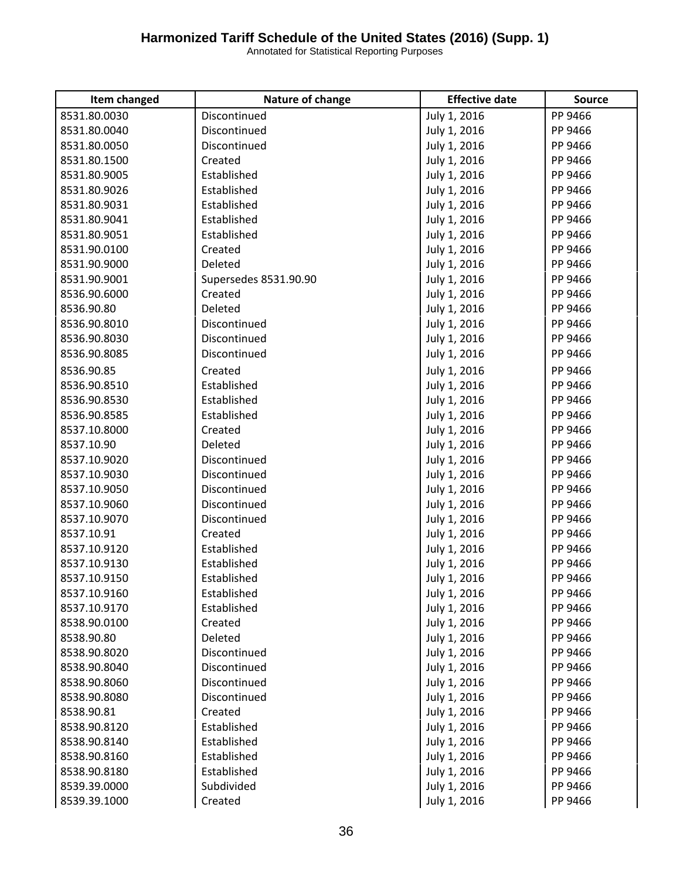| Item changed | Nature of change      | <b>Effective date</b> | <b>Source</b> |
|--------------|-----------------------|-----------------------|---------------|
| 8531.80.0030 | Discontinued          | July 1, 2016          | PP 9466       |
| 8531.80.0040 | Discontinued          | July 1, 2016          | PP 9466       |
| 8531.80.0050 | Discontinued          | July 1, 2016          | PP 9466       |
| 8531.80.1500 | Created               | July 1, 2016          | PP 9466       |
| 8531.80.9005 | Established           | July 1, 2016          | PP 9466       |
| 8531.80.9026 | Established           | July 1, 2016          | PP 9466       |
| 8531.80.9031 | Established           | July 1, 2016          | PP 9466       |
| 8531.80.9041 | Established           | July 1, 2016          | PP 9466       |
| 8531.80.9051 | Established           | July 1, 2016          | PP 9466       |
| 8531.90.0100 | Created               | July 1, 2016          | PP 9466       |
| 8531.90.9000 | Deleted               | July 1, 2016          | PP 9466       |
| 8531.90.9001 | Supersedes 8531.90.90 | July 1, 2016          | PP 9466       |
| 8536.90.6000 | Created               | July 1, 2016          | PP 9466       |
| 8536.90.80   | Deleted               | July 1, 2016          | PP 9466       |
| 8536.90.8010 | Discontinued          | July 1, 2016          | PP 9466       |
| 8536.90.8030 | Discontinued          | July 1, 2016          | PP 9466       |
| 8536.90.8085 | Discontinued          | July 1, 2016          | PP 9466       |
| 8536.90.85   | Created               | July 1, 2016          | PP 9466       |
| 8536.90.8510 | Established           | July 1, 2016          | PP 9466       |
| 8536.90.8530 | Established           | July 1, 2016          | PP 9466       |
| 8536.90.8585 | Established           | July 1, 2016          | PP 9466       |
| 8537.10.8000 | Created               | July 1, 2016          | PP 9466       |
| 8537.10.90   | Deleted               | July 1, 2016          | PP 9466       |
| 8537.10.9020 | Discontinued          | July 1, 2016          | PP 9466       |
| 8537.10.9030 | Discontinued          | July 1, 2016          | PP 9466       |
| 8537.10.9050 | Discontinued          | July 1, 2016          | PP 9466       |
| 8537.10.9060 | Discontinued          | July 1, 2016          | PP 9466       |
| 8537.10.9070 | Discontinued          | July 1, 2016          | PP 9466       |
| 8537.10.91   | Created               | July 1, 2016          | PP 9466       |
| 8537.10.9120 | Established           | July 1, 2016          | PP 9466       |
| 8537.10.9130 | Established           | July 1, 2016          | PP 9466       |
| 8537.10.9150 | Established           | July 1, 2016          | PP 9466       |
| 8537.10.9160 | Established           | July 1, 2016          | PP 9466       |
| 8537.10.9170 | Established           | July 1, 2016          | PP 9466       |
| 8538.90.0100 | Created               | July 1, 2016          | PP 9466       |
| 8538.90.80   | Deleted               | July 1, 2016          | PP 9466       |
| 8538.90.8020 | Discontinued          | July 1, 2016          | PP 9466       |
| 8538.90.8040 | Discontinued          | July 1, 2016          | PP 9466       |
| 8538.90.8060 | Discontinued          | July 1, 2016          | PP 9466       |
| 8538.90.8080 | Discontinued          | July 1, 2016          | PP 9466       |
| 8538.90.81   | Created               | July 1, 2016          | PP 9466       |
| 8538.90.8120 | Established           | July 1, 2016          | PP 9466       |
| 8538.90.8140 | Established           | July 1, 2016          | PP 9466       |
| 8538.90.8160 | Established           | July 1, 2016          | PP 9466       |
| 8538.90.8180 | Established           | July 1, 2016          | PP 9466       |
| 8539.39.0000 | Subdivided            | July 1, 2016          | PP 9466       |
| 8539.39.1000 | Created               | July 1, 2016          | PP 9466       |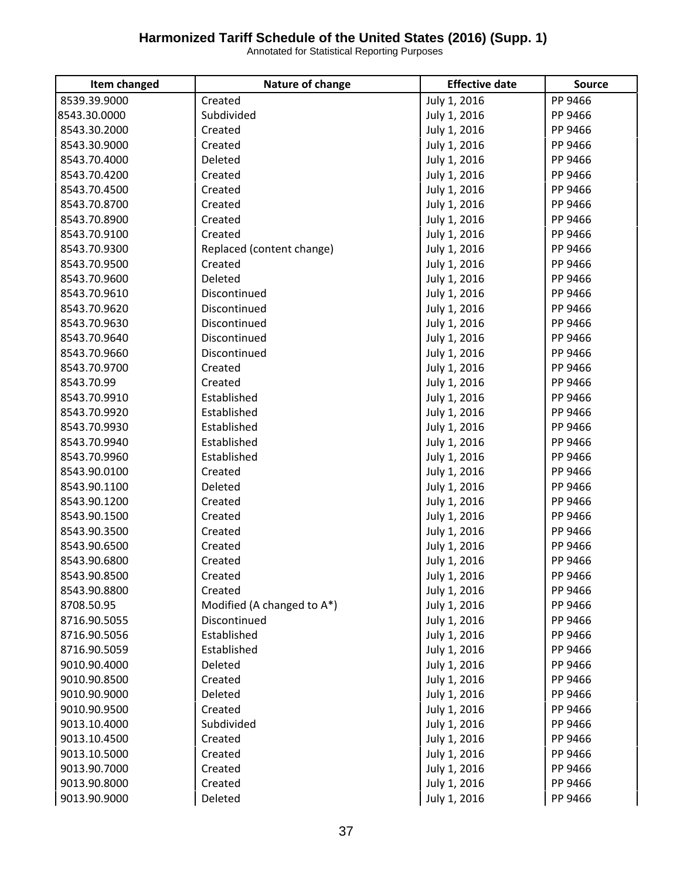| Item changed | Nature of change           | <b>Effective date</b> | <b>Source</b> |
|--------------|----------------------------|-----------------------|---------------|
| 8539.39.9000 | Created                    | July 1, 2016          | PP 9466       |
| 8543.30.0000 | Subdivided                 | July 1, 2016          | PP 9466       |
| 8543.30.2000 | Created                    | July 1, 2016          | PP 9466       |
| 8543.30.9000 | Created                    | July 1, 2016          | PP 9466       |
| 8543.70.4000 | Deleted                    | July 1, 2016          | PP 9466       |
| 8543.70.4200 | Created                    | July 1, 2016          | PP 9466       |
| 8543.70.4500 | Created                    | July 1, 2016          | PP 9466       |
| 8543.70.8700 | Created                    | July 1, 2016          | PP 9466       |
| 8543.70.8900 | Created                    | July 1, 2016          | PP 9466       |
| 8543.70.9100 | Created                    | July 1, 2016          | PP 9466       |
| 8543.70.9300 | Replaced (content change)  | July 1, 2016          | PP 9466       |
| 8543.70.9500 | Created                    | July 1, 2016          | PP 9466       |
| 8543.70.9600 | Deleted                    | July 1, 2016          | PP 9466       |
| 8543.70.9610 | Discontinued               | July 1, 2016          | PP 9466       |
| 8543.70.9620 | Discontinued               | July 1, 2016          | PP 9466       |
| 8543.70.9630 | Discontinued               | July 1, 2016          | PP 9466       |
| 8543.70.9640 | Discontinued               | July 1, 2016          | PP 9466       |
| 8543.70.9660 | Discontinued               | July 1, 2016          | PP 9466       |
| 8543.70.9700 | Created                    | July 1, 2016          | PP 9466       |
| 8543.70.99   | Created                    | July 1, 2016          | PP 9466       |
| 8543.70.9910 | Established                | July 1, 2016          | PP 9466       |
| 8543.70.9920 | Established                | July 1, 2016          | PP 9466       |
| 8543.70.9930 | Established                | July 1, 2016          | PP 9466       |
| 8543.70.9940 | Established                | July 1, 2016          | PP 9466       |
| 8543.70.9960 | Established                | July 1, 2016          | PP 9466       |
| 8543.90.0100 | Created                    | July 1, 2016          | PP 9466       |
| 8543.90.1100 | Deleted                    | July 1, 2016          | PP 9466       |
| 8543.90.1200 | Created                    | July 1, 2016          | PP 9466       |
| 8543.90.1500 | Created                    | July 1, 2016          | PP 9466       |
| 8543.90.3500 | Created                    | July 1, 2016          | PP 9466       |
| 8543.90.6500 | Created                    | July 1, 2016          | PP 9466       |
| 8543.90.6800 | Created                    | July 1, 2016          | PP 9466       |
| 8543.90.8500 | Created                    | July 1, 2016          | PP 9466       |
| 8543.90.8800 | Created                    | July 1, 2016          | PP 9466       |
| 8708.50.95   | Modified (A changed to A*) | July 1, 2016          | PP 9466       |
| 8716.90.5055 | Discontinued               | July 1, 2016          | PP 9466       |
| 8716.90.5056 | Established                | July 1, 2016          | PP 9466       |
| 8716.90.5059 | Established                | July 1, 2016          | PP 9466       |
| 9010.90.4000 | Deleted                    | July 1, 2016          | PP 9466       |
| 9010.90.8500 | Created                    | July 1, 2016          | PP 9466       |
| 9010.90.9000 | Deleted                    | July 1, 2016          | PP 9466       |
| 9010.90.9500 | Created                    | July 1, 2016          | PP 9466       |
| 9013.10.4000 | Subdivided                 | July 1, 2016          | PP 9466       |
| 9013.10.4500 | Created                    | July 1, 2016          | PP 9466       |
| 9013.10.5000 | Created                    | July 1, 2016          | PP 9466       |
| 9013.90.7000 | Created                    | July 1, 2016          | PP 9466       |
| 9013.90.8000 | Created                    | July 1, 2016          | PP 9466       |
| 9013.90.9000 | Deleted                    | July 1, 2016          | PP 9466       |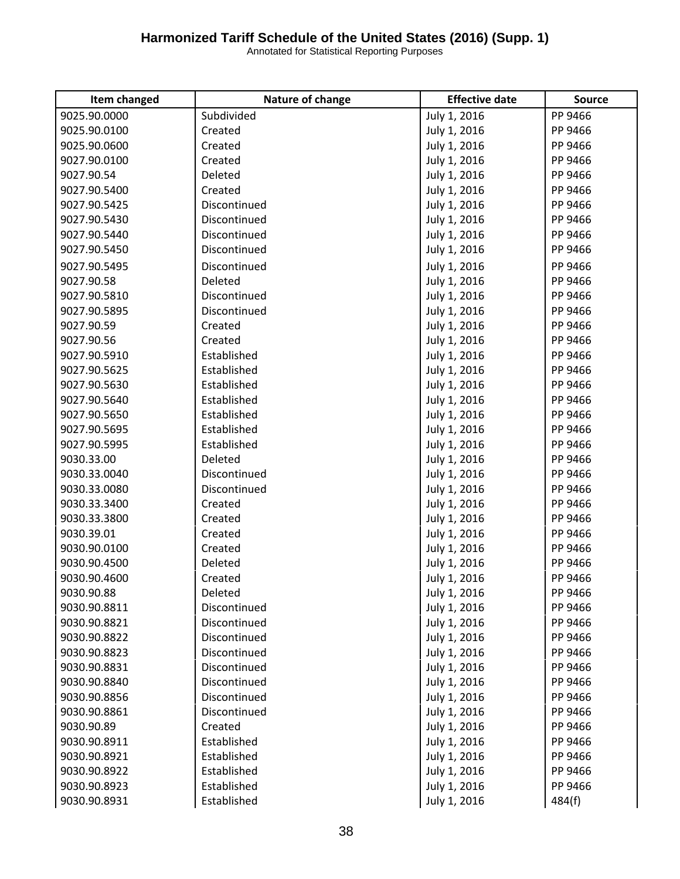| 9025.90.0000<br>Subdivided<br>July 1, 2016<br>PP 9466<br>9025.90.0100<br>July 1, 2016<br>PP 9466<br>Created<br>9025.90.0600<br>Created<br>July 1, 2016<br>PP 9466<br>9027.90.0100<br>July 1, 2016<br>PP 9466<br>Created<br>9027.90.54<br>Deleted<br>July 1, 2016<br>PP 9466<br>9027.90.5400<br>Created<br>July 1, 2016<br>PP 9466<br>9027.90.5425<br>Discontinued<br>July 1, 2016<br>PP 9466<br>9027.90.5430<br>Discontinued<br>July 1, 2016<br>PP 9466<br>Discontinued<br>July 1, 2016<br>PP 9466<br>9027.90.5440<br>Discontinued<br>9027.90.5450<br>July 1, 2016<br>PP 9466<br>9027.90.5495<br>Discontinued<br>July 1, 2016<br>PP 9466<br>July 1, 2016<br>9027.90.58<br>Deleted<br>PP 9466<br>9027.90.5810<br>Discontinued<br>July 1, 2016<br>PP 9466<br>Discontinued<br>PP 9466<br>9027.90.5895<br>July 1, 2016<br>9027.90.59<br>July 1, 2016<br>PP 9466<br>Created<br>9027.90.56<br>July 1, 2016<br>PP 9466<br>Created<br>9027.90.5910<br>Established<br>PP 9466<br>July 1, 2016<br>9027.90.5625<br>Established<br>July 1, 2016<br>PP 9466<br>PP 9466<br>9027.90.5630<br>Established<br>July 1, 2016<br>9027.90.5640<br>Established<br>July 1, 2016<br>PP 9466<br>9027.90.5650<br>Established<br>July 1, 2016<br>PP 9466<br>9027.90.5695<br>Established<br>July 1, 2016<br>PP 9466<br>Established<br>PP 9466<br>9027.90.5995<br>July 1, 2016<br>9030.33.00<br>July 1, 2016<br>PP 9466<br>Deleted<br>9030.33.0040<br>Discontinued<br>July 1, 2016<br>PP 9466<br>Discontinued<br>PP 9466<br>9030.33.0080<br>July 1, 2016<br>9030.33.3400<br>July 1, 2016<br>PP 9466<br>Created<br>PP 9466<br>9030.33.3800<br>Created<br>July 1, 2016<br>9030.39.01<br>Created<br>July 1, 2016<br>PP 9466<br>9030.90.0100<br>July 1, 2016<br>PP 9466<br>Created<br>9030.90.4500<br>Deleted<br>July 1, 2016<br>PP 9466<br>9030.90.4600<br>July 1, 2016<br>PP 9466<br>Created<br>9030.90.88<br>Deleted<br>July 1, 2016<br>PP 9466<br>9030.90.8811<br>July 1, 2016<br>Discontinued<br>PP 9466<br>Discontinued<br>July 1, 2016<br>9030.90.8821<br>PP 9466<br>Discontinued<br>9030.90.8822<br>July 1, 2016<br>PP 9466<br>Discontinued<br>9030.90.8823<br>July 1, 2016<br>PP 9466<br>Discontinued<br>July 1, 2016<br>9030.90.8831<br>PP 9466<br>Discontinued<br>9030.90.8840<br>July 1, 2016<br>PP 9466<br>Discontinued<br>9030.90.8856<br>July 1, 2016<br>PP 9466<br>9030.90.8861<br>Discontinued<br>July 1, 2016<br>PP 9466<br>July 1, 2016<br>9030.90.89<br>Created<br>PP 9466<br>Established<br>July 1, 2016<br>9030.90.8911<br>PP 9466<br>9030.90.8921<br>Established<br>July 1, 2016<br>PP 9466<br>July 1, 2016<br>9030.90.8922<br>Established<br>PP 9466<br>9030.90.8923<br>Established<br>July 1, 2016<br>PP 9466<br>9030.90.8931<br>Established<br>July 1, 2016<br>484(f) | Item changed | Nature of change | <b>Effective date</b> | <b>Source</b> |
|---------------------------------------------------------------------------------------------------------------------------------------------------------------------------------------------------------------------------------------------------------------------------------------------------------------------------------------------------------------------------------------------------------------------------------------------------------------------------------------------------------------------------------------------------------------------------------------------------------------------------------------------------------------------------------------------------------------------------------------------------------------------------------------------------------------------------------------------------------------------------------------------------------------------------------------------------------------------------------------------------------------------------------------------------------------------------------------------------------------------------------------------------------------------------------------------------------------------------------------------------------------------------------------------------------------------------------------------------------------------------------------------------------------------------------------------------------------------------------------------------------------------------------------------------------------------------------------------------------------------------------------------------------------------------------------------------------------------------------------------------------------------------------------------------------------------------------------------------------------------------------------------------------------------------------------------------------------------------------------------------------------------------------------------------------------------------------------------------------------------------------------------------------------------------------------------------------------------------------------------------------------------------------------------------------------------------------------------------------------------------------------------------------------------------------------------------------------------------------------------------------------------------------------------------------------------------------------------------------------------------------------------------------------------------------------------------------------------------------------------------------------|--------------|------------------|-----------------------|---------------|
|                                                                                                                                                                                                                                                                                                                                                                                                                                                                                                                                                                                                                                                                                                                                                                                                                                                                                                                                                                                                                                                                                                                                                                                                                                                                                                                                                                                                                                                                                                                                                                                                                                                                                                                                                                                                                                                                                                                                                                                                                                                                                                                                                                                                                                                                                                                                                                                                                                                                                                                                                                                                                                                                                                                                                               |              |                  |                       |               |
|                                                                                                                                                                                                                                                                                                                                                                                                                                                                                                                                                                                                                                                                                                                                                                                                                                                                                                                                                                                                                                                                                                                                                                                                                                                                                                                                                                                                                                                                                                                                                                                                                                                                                                                                                                                                                                                                                                                                                                                                                                                                                                                                                                                                                                                                                                                                                                                                                                                                                                                                                                                                                                                                                                                                                               |              |                  |                       |               |
|                                                                                                                                                                                                                                                                                                                                                                                                                                                                                                                                                                                                                                                                                                                                                                                                                                                                                                                                                                                                                                                                                                                                                                                                                                                                                                                                                                                                                                                                                                                                                                                                                                                                                                                                                                                                                                                                                                                                                                                                                                                                                                                                                                                                                                                                                                                                                                                                                                                                                                                                                                                                                                                                                                                                                               |              |                  |                       |               |
|                                                                                                                                                                                                                                                                                                                                                                                                                                                                                                                                                                                                                                                                                                                                                                                                                                                                                                                                                                                                                                                                                                                                                                                                                                                                                                                                                                                                                                                                                                                                                                                                                                                                                                                                                                                                                                                                                                                                                                                                                                                                                                                                                                                                                                                                                                                                                                                                                                                                                                                                                                                                                                                                                                                                                               |              |                  |                       |               |
|                                                                                                                                                                                                                                                                                                                                                                                                                                                                                                                                                                                                                                                                                                                                                                                                                                                                                                                                                                                                                                                                                                                                                                                                                                                                                                                                                                                                                                                                                                                                                                                                                                                                                                                                                                                                                                                                                                                                                                                                                                                                                                                                                                                                                                                                                                                                                                                                                                                                                                                                                                                                                                                                                                                                                               |              |                  |                       |               |
|                                                                                                                                                                                                                                                                                                                                                                                                                                                                                                                                                                                                                                                                                                                                                                                                                                                                                                                                                                                                                                                                                                                                                                                                                                                                                                                                                                                                                                                                                                                                                                                                                                                                                                                                                                                                                                                                                                                                                                                                                                                                                                                                                                                                                                                                                                                                                                                                                                                                                                                                                                                                                                                                                                                                                               |              |                  |                       |               |
|                                                                                                                                                                                                                                                                                                                                                                                                                                                                                                                                                                                                                                                                                                                                                                                                                                                                                                                                                                                                                                                                                                                                                                                                                                                                                                                                                                                                                                                                                                                                                                                                                                                                                                                                                                                                                                                                                                                                                                                                                                                                                                                                                                                                                                                                                                                                                                                                                                                                                                                                                                                                                                                                                                                                                               |              |                  |                       |               |
|                                                                                                                                                                                                                                                                                                                                                                                                                                                                                                                                                                                                                                                                                                                                                                                                                                                                                                                                                                                                                                                                                                                                                                                                                                                                                                                                                                                                                                                                                                                                                                                                                                                                                                                                                                                                                                                                                                                                                                                                                                                                                                                                                                                                                                                                                                                                                                                                                                                                                                                                                                                                                                                                                                                                                               |              |                  |                       |               |
|                                                                                                                                                                                                                                                                                                                                                                                                                                                                                                                                                                                                                                                                                                                                                                                                                                                                                                                                                                                                                                                                                                                                                                                                                                                                                                                                                                                                                                                                                                                                                                                                                                                                                                                                                                                                                                                                                                                                                                                                                                                                                                                                                                                                                                                                                                                                                                                                                                                                                                                                                                                                                                                                                                                                                               |              |                  |                       |               |
|                                                                                                                                                                                                                                                                                                                                                                                                                                                                                                                                                                                                                                                                                                                                                                                                                                                                                                                                                                                                                                                                                                                                                                                                                                                                                                                                                                                                                                                                                                                                                                                                                                                                                                                                                                                                                                                                                                                                                                                                                                                                                                                                                                                                                                                                                                                                                                                                                                                                                                                                                                                                                                                                                                                                                               |              |                  |                       |               |
|                                                                                                                                                                                                                                                                                                                                                                                                                                                                                                                                                                                                                                                                                                                                                                                                                                                                                                                                                                                                                                                                                                                                                                                                                                                                                                                                                                                                                                                                                                                                                                                                                                                                                                                                                                                                                                                                                                                                                                                                                                                                                                                                                                                                                                                                                                                                                                                                                                                                                                                                                                                                                                                                                                                                                               |              |                  |                       |               |
|                                                                                                                                                                                                                                                                                                                                                                                                                                                                                                                                                                                                                                                                                                                                                                                                                                                                                                                                                                                                                                                                                                                                                                                                                                                                                                                                                                                                                                                                                                                                                                                                                                                                                                                                                                                                                                                                                                                                                                                                                                                                                                                                                                                                                                                                                                                                                                                                                                                                                                                                                                                                                                                                                                                                                               |              |                  |                       |               |
|                                                                                                                                                                                                                                                                                                                                                                                                                                                                                                                                                                                                                                                                                                                                                                                                                                                                                                                                                                                                                                                                                                                                                                                                                                                                                                                                                                                                                                                                                                                                                                                                                                                                                                                                                                                                                                                                                                                                                                                                                                                                                                                                                                                                                                                                                                                                                                                                                                                                                                                                                                                                                                                                                                                                                               |              |                  |                       |               |
|                                                                                                                                                                                                                                                                                                                                                                                                                                                                                                                                                                                                                                                                                                                                                                                                                                                                                                                                                                                                                                                                                                                                                                                                                                                                                                                                                                                                                                                                                                                                                                                                                                                                                                                                                                                                                                                                                                                                                                                                                                                                                                                                                                                                                                                                                                                                                                                                                                                                                                                                                                                                                                                                                                                                                               |              |                  |                       |               |
|                                                                                                                                                                                                                                                                                                                                                                                                                                                                                                                                                                                                                                                                                                                                                                                                                                                                                                                                                                                                                                                                                                                                                                                                                                                                                                                                                                                                                                                                                                                                                                                                                                                                                                                                                                                                                                                                                                                                                                                                                                                                                                                                                                                                                                                                                                                                                                                                                                                                                                                                                                                                                                                                                                                                                               |              |                  |                       |               |
|                                                                                                                                                                                                                                                                                                                                                                                                                                                                                                                                                                                                                                                                                                                                                                                                                                                                                                                                                                                                                                                                                                                                                                                                                                                                                                                                                                                                                                                                                                                                                                                                                                                                                                                                                                                                                                                                                                                                                                                                                                                                                                                                                                                                                                                                                                                                                                                                                                                                                                                                                                                                                                                                                                                                                               |              |                  |                       |               |
|                                                                                                                                                                                                                                                                                                                                                                                                                                                                                                                                                                                                                                                                                                                                                                                                                                                                                                                                                                                                                                                                                                                                                                                                                                                                                                                                                                                                                                                                                                                                                                                                                                                                                                                                                                                                                                                                                                                                                                                                                                                                                                                                                                                                                                                                                                                                                                                                                                                                                                                                                                                                                                                                                                                                                               |              |                  |                       |               |
|                                                                                                                                                                                                                                                                                                                                                                                                                                                                                                                                                                                                                                                                                                                                                                                                                                                                                                                                                                                                                                                                                                                                                                                                                                                                                                                                                                                                                                                                                                                                                                                                                                                                                                                                                                                                                                                                                                                                                                                                                                                                                                                                                                                                                                                                                                                                                                                                                                                                                                                                                                                                                                                                                                                                                               |              |                  |                       |               |
|                                                                                                                                                                                                                                                                                                                                                                                                                                                                                                                                                                                                                                                                                                                                                                                                                                                                                                                                                                                                                                                                                                                                                                                                                                                                                                                                                                                                                                                                                                                                                                                                                                                                                                                                                                                                                                                                                                                                                                                                                                                                                                                                                                                                                                                                                                                                                                                                                                                                                                                                                                                                                                                                                                                                                               |              |                  |                       |               |
|                                                                                                                                                                                                                                                                                                                                                                                                                                                                                                                                                                                                                                                                                                                                                                                                                                                                                                                                                                                                                                                                                                                                                                                                                                                                                                                                                                                                                                                                                                                                                                                                                                                                                                                                                                                                                                                                                                                                                                                                                                                                                                                                                                                                                                                                                                                                                                                                                                                                                                                                                                                                                                                                                                                                                               |              |                  |                       |               |
|                                                                                                                                                                                                                                                                                                                                                                                                                                                                                                                                                                                                                                                                                                                                                                                                                                                                                                                                                                                                                                                                                                                                                                                                                                                                                                                                                                                                                                                                                                                                                                                                                                                                                                                                                                                                                                                                                                                                                                                                                                                                                                                                                                                                                                                                                                                                                                                                                                                                                                                                                                                                                                                                                                                                                               |              |                  |                       |               |
|                                                                                                                                                                                                                                                                                                                                                                                                                                                                                                                                                                                                                                                                                                                                                                                                                                                                                                                                                                                                                                                                                                                                                                                                                                                                                                                                                                                                                                                                                                                                                                                                                                                                                                                                                                                                                                                                                                                                                                                                                                                                                                                                                                                                                                                                                                                                                                                                                                                                                                                                                                                                                                                                                                                                                               |              |                  |                       |               |
|                                                                                                                                                                                                                                                                                                                                                                                                                                                                                                                                                                                                                                                                                                                                                                                                                                                                                                                                                                                                                                                                                                                                                                                                                                                                                                                                                                                                                                                                                                                                                                                                                                                                                                                                                                                                                                                                                                                                                                                                                                                                                                                                                                                                                                                                                                                                                                                                                                                                                                                                                                                                                                                                                                                                                               |              |                  |                       |               |
|                                                                                                                                                                                                                                                                                                                                                                                                                                                                                                                                                                                                                                                                                                                                                                                                                                                                                                                                                                                                                                                                                                                                                                                                                                                                                                                                                                                                                                                                                                                                                                                                                                                                                                                                                                                                                                                                                                                                                                                                                                                                                                                                                                                                                                                                                                                                                                                                                                                                                                                                                                                                                                                                                                                                                               |              |                  |                       |               |
|                                                                                                                                                                                                                                                                                                                                                                                                                                                                                                                                                                                                                                                                                                                                                                                                                                                                                                                                                                                                                                                                                                                                                                                                                                                                                                                                                                                                                                                                                                                                                                                                                                                                                                                                                                                                                                                                                                                                                                                                                                                                                                                                                                                                                                                                                                                                                                                                                                                                                                                                                                                                                                                                                                                                                               |              |                  |                       |               |
|                                                                                                                                                                                                                                                                                                                                                                                                                                                                                                                                                                                                                                                                                                                                                                                                                                                                                                                                                                                                                                                                                                                                                                                                                                                                                                                                                                                                                                                                                                                                                                                                                                                                                                                                                                                                                                                                                                                                                                                                                                                                                                                                                                                                                                                                                                                                                                                                                                                                                                                                                                                                                                                                                                                                                               |              |                  |                       |               |
|                                                                                                                                                                                                                                                                                                                                                                                                                                                                                                                                                                                                                                                                                                                                                                                                                                                                                                                                                                                                                                                                                                                                                                                                                                                                                                                                                                                                                                                                                                                                                                                                                                                                                                                                                                                                                                                                                                                                                                                                                                                                                                                                                                                                                                                                                                                                                                                                                                                                                                                                                                                                                                                                                                                                                               |              |                  |                       |               |
|                                                                                                                                                                                                                                                                                                                                                                                                                                                                                                                                                                                                                                                                                                                                                                                                                                                                                                                                                                                                                                                                                                                                                                                                                                                                                                                                                                                                                                                                                                                                                                                                                                                                                                                                                                                                                                                                                                                                                                                                                                                                                                                                                                                                                                                                                                                                                                                                                                                                                                                                                                                                                                                                                                                                                               |              |                  |                       |               |
|                                                                                                                                                                                                                                                                                                                                                                                                                                                                                                                                                                                                                                                                                                                                                                                                                                                                                                                                                                                                                                                                                                                                                                                                                                                                                                                                                                                                                                                                                                                                                                                                                                                                                                                                                                                                                                                                                                                                                                                                                                                                                                                                                                                                                                                                                                                                                                                                                                                                                                                                                                                                                                                                                                                                                               |              |                  |                       |               |
|                                                                                                                                                                                                                                                                                                                                                                                                                                                                                                                                                                                                                                                                                                                                                                                                                                                                                                                                                                                                                                                                                                                                                                                                                                                                                                                                                                                                                                                                                                                                                                                                                                                                                                                                                                                                                                                                                                                                                                                                                                                                                                                                                                                                                                                                                                                                                                                                                                                                                                                                                                                                                                                                                                                                                               |              |                  |                       |               |
|                                                                                                                                                                                                                                                                                                                                                                                                                                                                                                                                                                                                                                                                                                                                                                                                                                                                                                                                                                                                                                                                                                                                                                                                                                                                                                                                                                                                                                                                                                                                                                                                                                                                                                                                                                                                                                                                                                                                                                                                                                                                                                                                                                                                                                                                                                                                                                                                                                                                                                                                                                                                                                                                                                                                                               |              |                  |                       |               |
|                                                                                                                                                                                                                                                                                                                                                                                                                                                                                                                                                                                                                                                                                                                                                                                                                                                                                                                                                                                                                                                                                                                                                                                                                                                                                                                                                                                                                                                                                                                                                                                                                                                                                                                                                                                                                                                                                                                                                                                                                                                                                                                                                                                                                                                                                                                                                                                                                                                                                                                                                                                                                                                                                                                                                               |              |                  |                       |               |
|                                                                                                                                                                                                                                                                                                                                                                                                                                                                                                                                                                                                                                                                                                                                                                                                                                                                                                                                                                                                                                                                                                                                                                                                                                                                                                                                                                                                                                                                                                                                                                                                                                                                                                                                                                                                                                                                                                                                                                                                                                                                                                                                                                                                                                                                                                                                                                                                                                                                                                                                                                                                                                                                                                                                                               |              |                  |                       |               |
|                                                                                                                                                                                                                                                                                                                                                                                                                                                                                                                                                                                                                                                                                                                                                                                                                                                                                                                                                                                                                                                                                                                                                                                                                                                                                                                                                                                                                                                                                                                                                                                                                                                                                                                                                                                                                                                                                                                                                                                                                                                                                                                                                                                                                                                                                                                                                                                                                                                                                                                                                                                                                                                                                                                                                               |              |                  |                       |               |
|                                                                                                                                                                                                                                                                                                                                                                                                                                                                                                                                                                                                                                                                                                                                                                                                                                                                                                                                                                                                                                                                                                                                                                                                                                                                                                                                                                                                                                                                                                                                                                                                                                                                                                                                                                                                                                                                                                                                                                                                                                                                                                                                                                                                                                                                                                                                                                                                                                                                                                                                                                                                                                                                                                                                                               |              |                  |                       |               |
|                                                                                                                                                                                                                                                                                                                                                                                                                                                                                                                                                                                                                                                                                                                                                                                                                                                                                                                                                                                                                                                                                                                                                                                                                                                                                                                                                                                                                                                                                                                                                                                                                                                                                                                                                                                                                                                                                                                                                                                                                                                                                                                                                                                                                                                                                                                                                                                                                                                                                                                                                                                                                                                                                                                                                               |              |                  |                       |               |
|                                                                                                                                                                                                                                                                                                                                                                                                                                                                                                                                                                                                                                                                                                                                                                                                                                                                                                                                                                                                                                                                                                                                                                                                                                                                                                                                                                                                                                                                                                                                                                                                                                                                                                                                                                                                                                                                                                                                                                                                                                                                                                                                                                                                                                                                                                                                                                                                                                                                                                                                                                                                                                                                                                                                                               |              |                  |                       |               |
|                                                                                                                                                                                                                                                                                                                                                                                                                                                                                                                                                                                                                                                                                                                                                                                                                                                                                                                                                                                                                                                                                                                                                                                                                                                                                                                                                                                                                                                                                                                                                                                                                                                                                                                                                                                                                                                                                                                                                                                                                                                                                                                                                                                                                                                                                                                                                                                                                                                                                                                                                                                                                                                                                                                                                               |              |                  |                       |               |
|                                                                                                                                                                                                                                                                                                                                                                                                                                                                                                                                                                                                                                                                                                                                                                                                                                                                                                                                                                                                                                                                                                                                                                                                                                                                                                                                                                                                                                                                                                                                                                                                                                                                                                                                                                                                                                                                                                                                                                                                                                                                                                                                                                                                                                                                                                                                                                                                                                                                                                                                                                                                                                                                                                                                                               |              |                  |                       |               |
|                                                                                                                                                                                                                                                                                                                                                                                                                                                                                                                                                                                                                                                                                                                                                                                                                                                                                                                                                                                                                                                                                                                                                                                                                                                                                                                                                                                                                                                                                                                                                                                                                                                                                                                                                                                                                                                                                                                                                                                                                                                                                                                                                                                                                                                                                                                                                                                                                                                                                                                                                                                                                                                                                                                                                               |              |                  |                       |               |
|                                                                                                                                                                                                                                                                                                                                                                                                                                                                                                                                                                                                                                                                                                                                                                                                                                                                                                                                                                                                                                                                                                                                                                                                                                                                                                                                                                                                                                                                                                                                                                                                                                                                                                                                                                                                                                                                                                                                                                                                                                                                                                                                                                                                                                                                                                                                                                                                                                                                                                                                                                                                                                                                                                                                                               |              |                  |                       |               |
|                                                                                                                                                                                                                                                                                                                                                                                                                                                                                                                                                                                                                                                                                                                                                                                                                                                                                                                                                                                                                                                                                                                                                                                                                                                                                                                                                                                                                                                                                                                                                                                                                                                                                                                                                                                                                                                                                                                                                                                                                                                                                                                                                                                                                                                                                                                                                                                                                                                                                                                                                                                                                                                                                                                                                               |              |                  |                       |               |
|                                                                                                                                                                                                                                                                                                                                                                                                                                                                                                                                                                                                                                                                                                                                                                                                                                                                                                                                                                                                                                                                                                                                                                                                                                                                                                                                                                                                                                                                                                                                                                                                                                                                                                                                                                                                                                                                                                                                                                                                                                                                                                                                                                                                                                                                                                                                                                                                                                                                                                                                                                                                                                                                                                                                                               |              |                  |                       |               |
|                                                                                                                                                                                                                                                                                                                                                                                                                                                                                                                                                                                                                                                                                                                                                                                                                                                                                                                                                                                                                                                                                                                                                                                                                                                                                                                                                                                                                                                                                                                                                                                                                                                                                                                                                                                                                                                                                                                                                                                                                                                                                                                                                                                                                                                                                                                                                                                                                                                                                                                                                                                                                                                                                                                                                               |              |                  |                       |               |
|                                                                                                                                                                                                                                                                                                                                                                                                                                                                                                                                                                                                                                                                                                                                                                                                                                                                                                                                                                                                                                                                                                                                                                                                                                                                                                                                                                                                                                                                                                                                                                                                                                                                                                                                                                                                                                                                                                                                                                                                                                                                                                                                                                                                                                                                                                                                                                                                                                                                                                                                                                                                                                                                                                                                                               |              |                  |                       |               |
|                                                                                                                                                                                                                                                                                                                                                                                                                                                                                                                                                                                                                                                                                                                                                                                                                                                                                                                                                                                                                                                                                                                                                                                                                                                                                                                                                                                                                                                                                                                                                                                                                                                                                                                                                                                                                                                                                                                                                                                                                                                                                                                                                                                                                                                                                                                                                                                                                                                                                                                                                                                                                                                                                                                                                               |              |                  |                       |               |
|                                                                                                                                                                                                                                                                                                                                                                                                                                                                                                                                                                                                                                                                                                                                                                                                                                                                                                                                                                                                                                                                                                                                                                                                                                                                                                                                                                                                                                                                                                                                                                                                                                                                                                                                                                                                                                                                                                                                                                                                                                                                                                                                                                                                                                                                                                                                                                                                                                                                                                                                                                                                                                                                                                                                                               |              |                  |                       |               |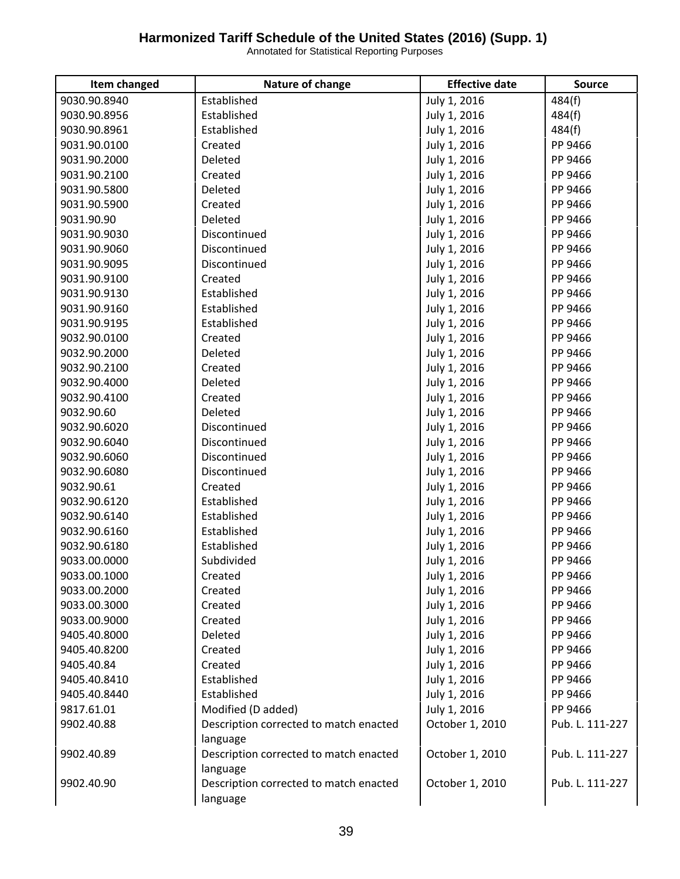| Item changed | Nature of change                       | <b>Effective date</b> | <b>Source</b>   |
|--------------|----------------------------------------|-----------------------|-----------------|
| 9030.90.8940 | Established                            | July 1, 2016          | 484(f)          |
| 9030.90.8956 | Established                            | July 1, 2016          | 484(f)          |
| 9030.90.8961 | Established                            | July 1, 2016          | 484(f)          |
| 9031.90.0100 | Created                                | July 1, 2016          | PP 9466         |
| 9031.90.2000 | Deleted                                | July 1, 2016          | PP 9466         |
| 9031.90.2100 | Created                                | July 1, 2016          | PP 9466         |
| 9031.90.5800 | Deleted                                | July 1, 2016          | PP 9466         |
| 9031.90.5900 | Created                                | July 1, 2016          | PP 9466         |
| 9031.90.90   | Deleted                                | July 1, 2016          | PP 9466         |
| 9031.90.9030 | Discontinued                           | July 1, 2016          | PP 9466         |
| 9031.90.9060 | Discontinued                           | July 1, 2016          | PP 9466         |
| 9031.90.9095 | Discontinued                           | July 1, 2016          | PP 9466         |
| 9031.90.9100 | Created                                | July 1, 2016          | PP 9466         |
| 9031.90.9130 | Established                            | July 1, 2016          | PP 9466         |
| 9031.90.9160 | Established                            | July 1, 2016          | PP 9466         |
| 9031.90.9195 | Established                            | July 1, 2016          | PP 9466         |
| 9032.90.0100 | Created                                | July 1, 2016          | PP 9466         |
| 9032.90.2000 | Deleted                                | July 1, 2016          | PP 9466         |
| 9032.90.2100 | Created                                | July 1, 2016          | PP 9466         |
| 9032.90.4000 | Deleted                                | July 1, 2016          | PP 9466         |
| 9032.90.4100 | Created                                | July 1, 2016          | PP 9466         |
| 9032.90.60   | Deleted                                | July 1, 2016          | PP 9466         |
| 9032.90.6020 | Discontinued                           | July 1, 2016          | PP 9466         |
| 9032.90.6040 | Discontinued                           | July 1, 2016          | PP 9466         |
| 9032.90.6060 | Discontinued                           | July 1, 2016          | PP 9466         |
| 9032.90.6080 | Discontinued                           | July 1, 2016          | PP 9466         |
| 9032.90.61   | Created                                | July 1, 2016          | PP 9466         |
| 9032.90.6120 | Established                            | July 1, 2016          | PP 9466         |
| 9032.90.6140 | Established                            | July 1, 2016          | PP 9466         |
| 9032.90.6160 | Established                            | July 1, 2016          | PP 9466         |
| 9032.90.6180 | Established                            | July 1, 2016          | PP 9466         |
| 9033.00.0000 | Subdivided                             | July 1, 2016          | PP 9466         |
| 9033.00.1000 | Created                                | July 1, 2016          | PP 9466         |
| 9033.00.2000 | Created                                | July 1, 2016          | PP 9466         |
| 9033.00.3000 | Created                                | July 1, 2016          | PP 9466         |
| 9033.00.9000 | Created                                | July 1, 2016          | PP 9466         |
| 9405.40.8000 | Deleted                                | July 1, 2016          | PP 9466         |
| 9405.40.8200 | Created                                | July 1, 2016          | PP 9466         |
| 9405.40.84   | Created                                | July 1, 2016          | PP 9466         |
| 9405.40.8410 | Established                            | July 1, 2016          | PP 9466         |
| 9405.40.8440 | Established                            | July 1, 2016          | PP 9466         |
| 9817.61.01   | Modified (D added)                     | July 1, 2016          | PP 9466         |
| 9902.40.88   | Description corrected to match enacted | October 1, 2010       | Pub. L. 111-227 |
|              | language                               |                       |                 |
| 9902.40.89   | Description corrected to match enacted | October 1, 2010       | Pub. L. 111-227 |
|              | language                               |                       |                 |
| 9902.40.90   | Description corrected to match enacted | October 1, 2010       | Pub. L. 111-227 |
|              | language                               |                       |                 |